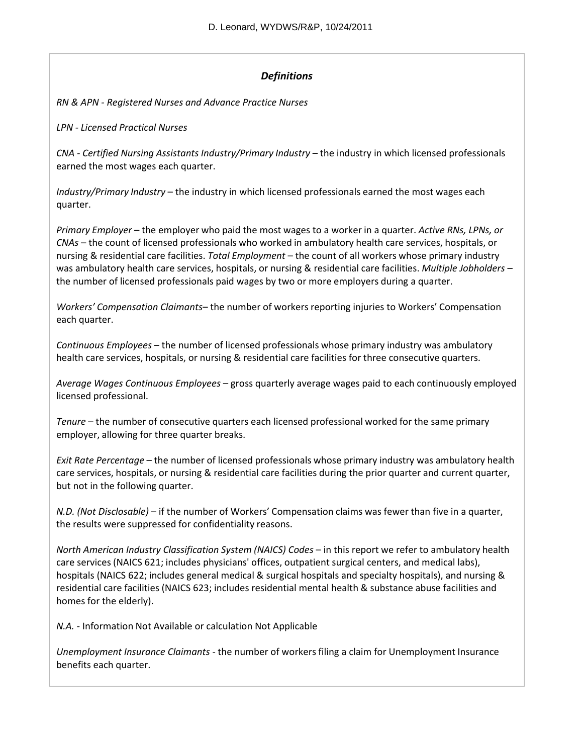# *Definitions*

*RN & APN ‐ Registered Nurses and Advance Practice Nurses*

*LPN ‐ Licensed Practical Nurses*

*CNA ‐ Certified Nursing Assistants Industry/Primary Industry* – the industry in which licensed professionals earned the most wages each quarter.

*Industry/Primary Industry* – the industry in which licensed professionals earned the most wages each quarter.

*Primary Employer* – the employer who paid the most wages to a worker in a quarter. *Active RNs, LPNs, or CNAs* – the count of licensed professionals who worked in ambulatory health care services, hospitals, or nursing & residential care facilities. *Total Employment* – the count of all workers whose primary industry was ambulatory health care services, hospitals, or nursing & residential care facilities. *Multiple Jobholders* – the number of licensed professionals paid wages by two or more employers during a quarter.

*Workers' Compensation Claimants*– the number of workersreporting injuries to Workers' Compensation each quarter.

*Continuous Employees* – the number of licensed professionals whose primary industry was ambulatory health care services, hospitals, or nursing & residential care facilities for three consecutive quarters.

*Average Wages Continuous Employees* – gross quarterly average wages paid to each continuously employed licensed professional.

*Tenure* – the number of consecutive quarters each licensed professional worked for the same primary employer, allowing for three quarter breaks.

*Exit Rate Percentage* – the number of licensed professionals whose primary industry was ambulatory health care services, hospitals, or nursing & residential care facilities during the prior quarter and current quarter, but not in the following quarter.

*N.D. (Not Disclosable)* – if the number of Workers' Compensation claims was fewer than five in a quarter, the results were suppressed for confidentiality reasons.

*North American Industry Classification System (NAICS) Codes* – in this report we refer to ambulatory health care services (NAICS 621; includes physicians' offices, outpatient surgical centers, and medical labs), hospitals (NAICS 622; includes general medical & surgical hospitals and specialty hospitals), and nursing & residential care facilities (NAICS 623; includes residential mental health & substance abuse facilities and homes for the elderly).

*N.A. ‐* Information Not Available or calculation Not Applicable

*Unemployment Insurance Claimants* ‐ the number of workersfiling a claim for Unemployment Insurance benefits each quarter.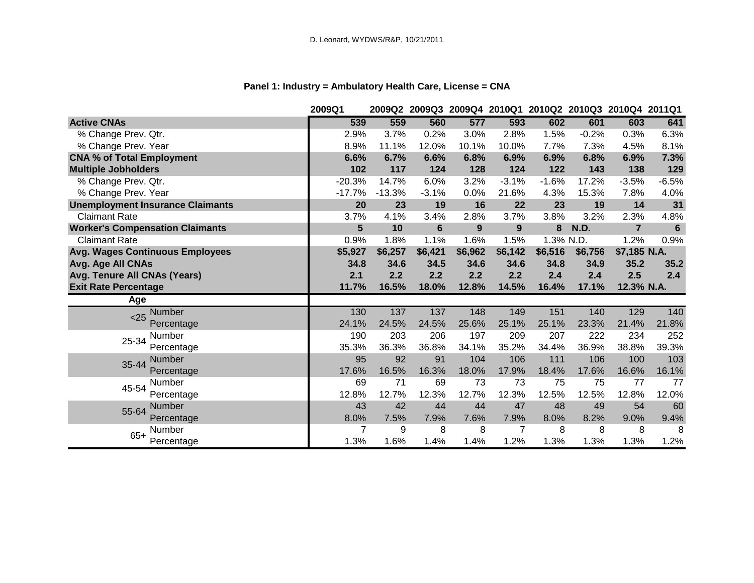# **Panel 1: Industry = Ambulatory Health Care, License = CNA**

|                                         | 2009Q1   | 2009Q2   |                |         | 2009Q3 2009Q4 2010Q1 | 2010Q2 2010Q3 2010Q4 2011Q1 |         |                |                |
|-----------------------------------------|----------|----------|----------------|---------|----------------------|-----------------------------|---------|----------------|----------------|
| <b>Active CNAs</b>                      | 539      | 559      | 560            | 577     | 593                  | 602                         | 601     | 603            | 641            |
| % Change Prev. Qtr.                     | 2.9%     | 3.7%     | 0.2%           | 3.0%    | 2.8%                 | 1.5%                        | $-0.2%$ | 0.3%           | 6.3%           |
| % Change Prev. Year                     | 8.9%     | 11.1%    | 12.0%          | 10.1%   | 10.0%                | 7.7%                        | 7.3%    | 4.5%           | 8.1%           |
| <b>CNA % of Total Employment</b>        | 6.6%     | 6.7%     | 6.6%           | 6.8%    | 6.9%                 | 6.9%                        | 6.8%    | 6.9%           | 7.3%           |
| <b>Multiple Jobholders</b>              | 102      | 117      | 124            | 128     | 124                  | 122                         | 143     | 138            | 129            |
| % Change Prev. Qtr.                     | $-20.3%$ | 14.7%    | 6.0%           | 3.2%    | $-3.1%$              | $-1.6%$                     | 17.2%   | $-3.5%$        | $-6.5%$        |
| % Change Prev. Year                     | $-17.7%$ | $-13.3%$ | $-3.1%$        | 0.0%    | 21.6%                | 4.3%                        | 15.3%   | 7.8%           | 4.0%           |
| <b>Unemployment Insurance Claimants</b> | 20       | 23       | 19             | 16      | 22                   | 23                          | 19      | 14             | 31             |
| <b>Claimant Rate</b>                    | 3.7%     | 4.1%     | 3.4%           | 2.8%    | 3.7%                 | 3.8%                        | 3.2%    | 2.3%           | 4.8%           |
| <b>Worker's Compensation Claimants</b>  | 5        | 10       | $6\phantom{1}$ | 9       | 9                    | 8                           | N.D.    | $\overline{7}$ | $6\phantom{a}$ |
| <b>Claimant Rate</b>                    | 0.9%     | 1.8%     | 1.1%           | 1.6%    | 1.5%                 | 1.3% N.D.                   |         | 1.2%           | 0.9%           |
| <b>Avg. Wages Continuous Employees</b>  | \$5,927  | \$6,257  | \$6,421        | \$6,962 | \$6,142              | \$6,516                     | \$6,756 | \$7,185 N.A.   |                |
| Avg. Age All CNAs                       | 34.8     | 34.6     | 34.5           | 34.6    | 34.6                 | 34.8                        | 34.9    | 35.2           | 35.2           |
| Avg. Tenure All CNAs (Years)            | 2.1      | 2.2      | 2.2            | 2.2     | 2.2                  | 2.4                         | 2.4     | 2.5            | 2.4            |
| <b>Exit Rate Percentage</b>             | 11.7%    | 16.5%    | 18.0%          | 12.8%   | 14.5%                | 16.4%                       | 17.1%   | 12.3% N.A.     |                |
| Age                                     |          |          |                |         |                      |                             |         |                |                |
| Number<br>< 25                          | 130      | 137      | 137            | 148     | 149                  | 151                         | 140     | 129            | 140            |
| Percentage                              | 24.1%    | 24.5%    | 24.5%          | 25.6%   | 25.1%                | 25.1%                       | 23.3%   | 21.4%          | 21.8%          |
| Number<br>25-34                         | 190      | 203      | 206            | 197     | 209                  | 207                         | 222     | 234            | 252            |
| Percentage                              | 35.3%    | 36.3%    | 36.8%          | 34.1%   | 35.2%                | 34.4%                       | 36.9%   | 38.8%          | 39.3%          |
| Number<br>35-44                         | 95       | 92       | 91             | 104     | 106                  | 111                         | 106     | 100            | 103            |
| Percentage                              | 17.6%    | 16.5%    | 16.3%          | 18.0%   | 17.9%                | 18.4%                       | 17.6%   | 16.6%          | 16.1%          |
| Number<br>45-54                         | 69       | 71       | 69             | 73      | 73                   | 75                          | 75      | 77             | 77             |
| Percentage                              | 12.8%    | 12.7%    | 12.3%          | 12.7%   | 12.3%                | 12.5%                       | 12.5%   | 12.8%          | 12.0%          |
| Number<br>55-64                         | 43       | 42       | 44             | 44      | 47                   | 48                          | 49      | 54             | 60             |
| Percentage                              | 8.0%     | 7.5%     | 7.9%           | 7.6%    | 7.9%                 | 8.0%                        | 8.2%    | 9.0%           | 9.4%           |
| Number<br>$65+$                         | 7        | 9        | 8              | 8       | 7                    | 8                           | 8       | 8              | 8              |
| Percentage                              | 1.3%     | 1.6%     | 1.4%           | 1.4%    | 1.2%                 | 1.3%                        | 1.3%    | 1.3%           | 1.2%           |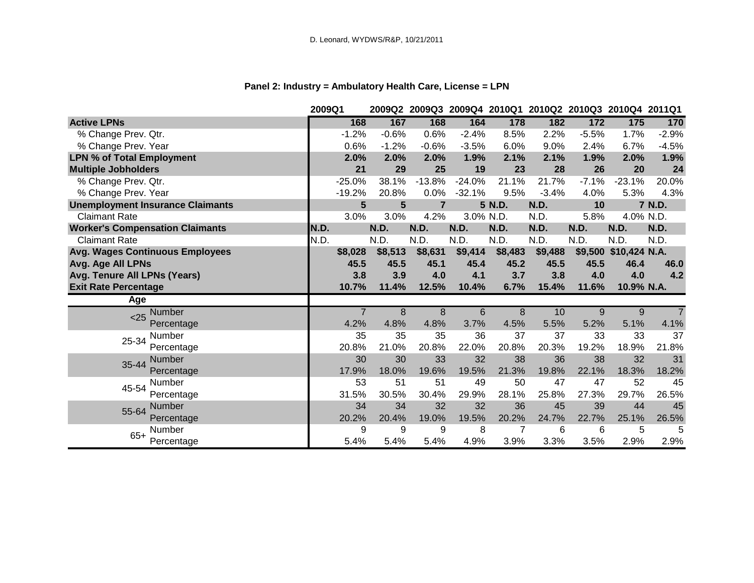# **Panel 2: Industry = Ambulatory Health Care, License = LPN**

|                                         | 2009Q1   |                      | 2009Q2 2009Q3 2009Q4 2010Q1 2010Q2 2010Q3 2010Q4 2011Q1 |           |         |         |         |                       |         |
|-----------------------------------------|----------|----------------------|---------------------------------------------------------|-----------|---------|---------|---------|-----------------------|---------|
| <b>Active LPNs</b>                      | 168      | 167                  | 168                                                     | 164       | 178     | 182     | 172     | 175                   | 170     |
| % Change Prev. Qtr.                     | $-1.2%$  | $-0.6%$              | 0.6%                                                    | $-2.4%$   | 8.5%    | 2.2%    | $-5.5%$ | 1.7%                  | $-2.9%$ |
| % Change Prev. Year                     | 0.6%     | $-1.2%$              | $-0.6%$                                                 | $-3.5%$   | 6.0%    | 9.0%    | 2.4%    | 6.7%                  | $-4.5%$ |
| <b>LPN % of Total Employment</b>        | 2.0%     | 2.0%                 | 2.0%                                                    | 1.9%      | 2.1%    | 2.1%    | 1.9%    | 2.0%                  | 1.9%    |
| <b>Multiple Jobholders</b>              | 21       | 29                   | 25                                                      | 19        | 23      | 28      | 26      | 20                    | 24      |
| % Change Prev. Qtr.                     | $-25.0%$ | 38.1%                | $-13.8%$                                                | $-24.0%$  | 21.1%   | 21.7%   | $-7.1%$ | $-23.1%$              | 20.0%   |
| % Change Prev. Year                     | $-19.2%$ | 20.8%                | 0.0%                                                    | $-32.1%$  | 9.5%    | $-3.4%$ | 4.0%    | 5.3%                  | 4.3%    |
| <b>Unemployment Insurance Claimants</b> |          | $5\phantom{.0}$<br>5 | $\overline{7}$                                          |           | 5 N.D.  | N.D.    | 10      |                       | 7 N.D.  |
| <b>Claimant Rate</b>                    | 3.0%     | 3.0%                 | 4.2%                                                    | 3.0% N.D. |         | N.D.    | 5.8%    | 4.0% N.D.             |         |
| <b>Worker's Compensation Claimants</b>  | N.D.     | N.D.                 | N.D.                                                    | N.D.      | N.D.    | N.D.    | N.D.    | N.D.                  | N.D.    |
| <b>Claimant Rate</b>                    | N.D.     | N.D.                 | N.D.                                                    | N.D.      | N.D.    | N.D.    | N.D.    | N.D.                  | N.D.    |
| <b>Avg. Wages Continuous Employees</b>  | \$8,028  | \$8,513              | \$8,631                                                 | \$9,414   | \$8,483 | \$9,488 |         | \$9,500 \$10,424 N.A. |         |
| Avg. Age All LPNs                       | 45.5     | 45.5                 | 45.1                                                    | 45.4      | 45.2    | 45.5    | 45.5    | 46.4                  | 46.0    |
| Avg. Tenure All LPNs (Years)            | 3.8      | 3.9                  | 4.0                                                     | 4.1       | 3.7     | 3.8     | 4.0     | 4.0                   | 4.2     |
| <b>Exit Rate Percentage</b>             | 10.7%    | 11.4%                | 12.5%                                                   | 10.4%     | 6.7%    | 15.4%   | 11.6%   | 10.9% N.A.            |         |
| Age                                     |          |                      |                                                         |           |         |         |         |                       |         |
| <b>Number</b><br>$25$                   |          | 8                    | 8                                                       | 6         | 8       | 10      | 9       | 9                     |         |
| Percentage                              | 4.2%     | 4.8%                 | 4.8%                                                    | 3.7%      | 4.5%    | 5.5%    | 5.2%    | 5.1%                  | 4.1%    |
| Number<br>25-34                         | 35       | 35                   | 35                                                      | 36        | 37      | 37      | 33      | 33                    | 37      |
| Percentage                              | 20.8%    | 21.0%                | 20.8%                                                   | 22.0%     | 20.8%   | 20.3%   | 19.2%   | 18.9%                 | 21.8%   |
| <b>Number</b><br>35-44                  | 30       | 30                   | 33                                                      | 32        | 38      | 36      | 38      | 32                    | 31      |
| Percentage                              | 17.9%    | 18.0%                | 19.6%                                                   | 19.5%     | 21.3%   | 19.8%   | 22.1%   | 18.3%                 | 18.2%   |
| Number<br>45-54                         | 53       | 51                   | 51                                                      | 49        | 50      | 47      | 47      | 52                    | 45      |
| Percentage                              | 31.5%    | 30.5%                | 30.4%                                                   | 29.9%     | 28.1%   | 25.8%   | 27.3%   | 29.7%                 | 26.5%   |
| Number<br>55-64                         | 34       | 34                   | 32                                                      | 32        | 36      | 45      | 39      | 44                    | 45      |
| Percentage                              | 20.2%    | 20.4%                | 19.0%                                                   | 19.5%     | 20.2%   | 24.7%   | 22.7%   | 25.1%                 | 26.5%   |
| Number                                  | 9        | 9                    | 9                                                       | 8         | 7       | 6       | 6       | 5                     | 5       |
| $65+$<br>Percentage                     | 5.4%     | 5.4%                 | 5.4%                                                    | 4.9%      | 3.9%    | 3.3%    | 3.5%    | 2.9%                  | 2.9%    |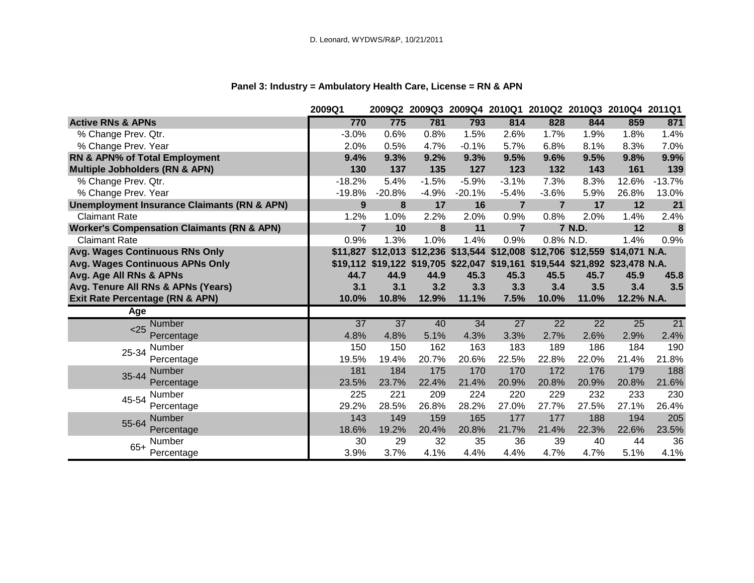# **Panel 3: Industry = Ambulatory Health Care, License = RN & APN**

|                                                        | 2009Q1          |                 |         |                 |                 | 2009Q2 2009Q3 2009Q4 2010Q1 2010Q2 2010Q3 2010Q4 2011Q1                      |                 |                 |                 |
|--------------------------------------------------------|-----------------|-----------------|---------|-----------------|-----------------|------------------------------------------------------------------------------|-----------------|-----------------|-----------------|
| <b>Active RNs &amp; APNs</b>                           | 770             | 775             | 781     | 793             | 814             | 828                                                                          | 844             | 859             | 871             |
| % Change Prev. Qtr.                                    | $-3.0%$         | 0.6%            | 0.8%    | 1.5%            | 2.6%            | 1.7%                                                                         | 1.9%            | 1.8%            | 1.4%            |
| % Change Prev. Year                                    | 2.0%            | 0.5%            | 4.7%    | $-0.1%$         | 5.7%            | 6.8%                                                                         | 8.1%            | 8.3%            | 7.0%            |
| <b>RN &amp; APN% of Total Employment</b>               | 9.4%            | 9.3%            | 9.2%    | 9.3%            | 9.5%            | 9.6%                                                                         | 9.5%            | 9.8%            | 9.9%            |
| <b>Multiple Jobholders (RN &amp; APN)</b>              | 130             | 137             | 135     | 127             | 123             | 132                                                                          | 143             | 161             | 139             |
| % Change Prev. Qtr.                                    | $-18.2%$        | 5.4%            | $-1.5%$ | $-5.9%$         | $-3.1%$         | 7.3%                                                                         | 8.3%            | 12.6%           | $-13.7%$        |
| % Change Prev. Year                                    | $-19.8%$        | $-20.8%$        | $-4.9%$ | $-20.1%$        | $-5.4%$         | $-3.6%$                                                                      | 5.9%            | 26.8%           | 13.0%           |
| <b>Unemployment Insurance Claimants (RN &amp; APN)</b> | 9               | 8               | 17      | 16              | $\overline{7}$  | $\overline{7}$                                                               | 17              | 12              | 21              |
| <b>Claimant Rate</b>                                   | 1.2%            | 1.0%            | 2.2%    | 2.0%            | 0.9%            | 0.8%                                                                         | 2.0%            | 1.4%            | 2.4%            |
| <b>Worker's Compensation Claimants (RN &amp; APN)</b>  | $\overline{7}$  | 10              | 8       | 11              | $\overline{7}$  |                                                                              | 7 N.D.          | 12              | 8               |
| <b>Claimant Rate</b>                                   | 0.9%            | 1.3%            | 1.0%    | 1.4%            | 0.9%            | 0.8% N.D.                                                                    |                 | 1.4%            | 0.9%            |
| Avg. Wages Continuous RNs Only                         |                 |                 |         |                 |                 | \$11,827 \$12,013 \$12,236 \$13,544 \$12,008 \$12,706 \$12,559 \$14,071 N.A. |                 |                 |                 |
| Avg. Wages Continuous APNs Only                        |                 |                 |         |                 |                 | \$19,112 \$19,122 \$19,705 \$22,047 \$19,161 \$19,544 \$21,892 \$23,478 N.A. |                 |                 |                 |
| Avg. Age All RNs & APNs                                | 44.7            | 44.9            | 44.9    | 45.3            | 45.3            | 45.5                                                                         | 45.7            | 45.9            | 45.8            |
| Avg. Tenure All RNs & APNs (Years)                     | 3.1             | 3.1             | 3.2     | 3.3             | 3.3             | 3.4                                                                          | 3.5             | 3.4             | 3.5             |
| <b>Exit Rate Percentage (RN &amp; APN)</b>             | 10.0%           | 10.8%           | 12.9%   | 11.1%           | 7.5%            | 10.0%                                                                        | 11.0%           | 12.2% N.A.      |                 |
| Age                                                    |                 |                 |         |                 |                 |                                                                              |                 |                 |                 |
| <b>Number</b><br>$25$                                  | $\overline{37}$ | $\overline{37}$ | 40      | $\overline{34}$ | $\overline{27}$ | $\overline{22}$                                                              | $\overline{22}$ | $\overline{25}$ | $\overline{21}$ |
| Percentage                                             | 4.8%            | 4.8%            | 5.1%    | 4.3%            | 3.3%            | 2.7%                                                                         | 2.6%            | 2.9%            | 2.4%            |
| Number<br>25-34                                        | 150             | 150             | 162     | 163             | 183             | 189                                                                          | 186             | 184             | 190             |
| Percentage                                             | 19.5%           | 19.4%           | 20.7%   | 20.6%           | 22.5%           | 22.8%                                                                        | 22.0%           | 21.4%           | 21.8%           |
| Number<br>35-44                                        | 181             | 184             | 175     | 170             | 170             | 172                                                                          | 176             | 179             | 188             |
| Percentage                                             | 23.5%           | 23.7%           | 22.4%   | 21.4%           | 20.9%           | 20.8%                                                                        | 20.9%           | 20.8%           | 21.6%           |
| Number<br>45-54                                        | 225             | 221             | 209     | 224             | 220             | 229                                                                          | 232             | 233             | 230             |
| Percentage                                             | 29.2%           | 28.5%           | 26.8%   | 28.2%           | 27.0%           | 27.7%                                                                        | 27.5%           | 27.1%           | 26.4%           |
|                                                        |                 |                 |         |                 |                 |                                                                              |                 |                 |                 |
| Number                                                 | 143             | 149             | 159     | 165             | 177             | 177                                                                          | 188             | 194             | 205             |
| 55-64<br>Percentage                                    | 18.6%           | 19.2%           | 20.4%   | 20.8%           | 21.7%           | 21.4%                                                                        | 22.3%           | 22.6%           | 23.5%           |
| Number<br>$65+$                                        | 30              | 29              | 32      | 35              | 36              | 39                                                                           | 40              | 44              | 36              |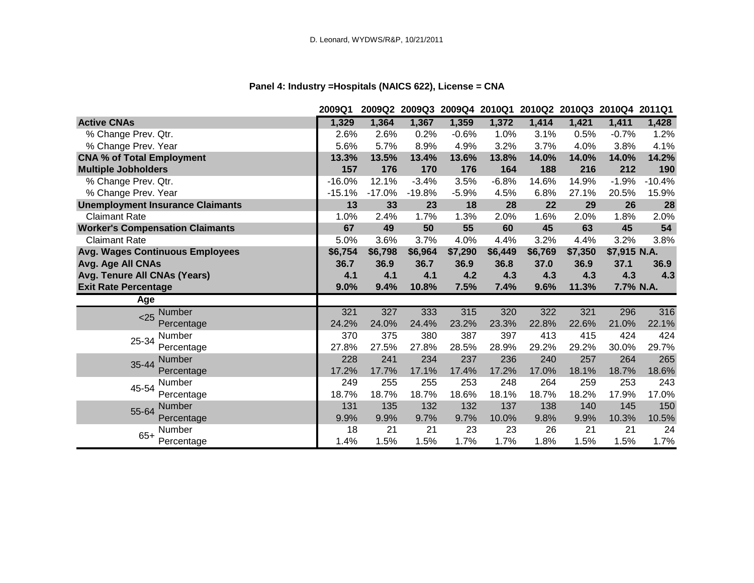# **Panel 4: Industry =Hospitals (NAICS 622), License = CNA**

|                                         | 2009Q1   | 2009Q2   |          |         | 2009Q3 2009Q4 2010Q1 2010Q2 2010Q3 2010Q4 2011Q1 |         |         |              |          |
|-----------------------------------------|----------|----------|----------|---------|--------------------------------------------------|---------|---------|--------------|----------|
| <b>Active CNAs</b>                      | 1,329    | 1,364    | 1,367    | 1,359   | 1,372                                            | 1,414   | 1,421   | 1,411        | 1,428    |
| % Change Prev. Qtr.                     | 2.6%     | 2.6%     | 0.2%     | $-0.6%$ | 1.0%                                             | 3.1%    | 0.5%    | $-0.7%$      | 1.2%     |
| % Change Prev. Year                     | 5.6%     | 5.7%     | 8.9%     | 4.9%    | 3.2%                                             | 3.7%    | 4.0%    | 3.8%         | 4.1%     |
| <b>CNA % of Total Employment</b>        | 13.3%    | 13.5%    | 13.4%    | 13.6%   | 13.8%                                            | 14.0%   | 14.0%   | 14.0%        | 14.2%    |
| <b>Multiple Jobholders</b>              | 157      | 176      | 170      | 176     | 164                                              | 188     | 216     | 212          | 190      |
| % Change Prev. Qtr.                     | $-16.0%$ | 12.1%    | $-3.4%$  | 3.5%    | $-6.8%$                                          | 14.6%   | 14.9%   | $-1.9%$      | $-10.4%$ |
| % Change Prev. Year                     | $-15.1%$ | $-17.0%$ | $-19.8%$ | $-5.9%$ | 4.5%                                             | 6.8%    | 27.1%   | 20.5%        | 15.9%    |
| <b>Unemployment Insurance Claimants</b> | 13       | 33       | 23       | 18      | 28                                               | 22      | 29      | 26           | 28       |
| <b>Claimant Rate</b>                    | 1.0%     | 2.4%     | 1.7%     | 1.3%    | 2.0%                                             | 1.6%    | 2.0%    | 1.8%         | 2.0%     |
| <b>Worker's Compensation Claimants</b>  | 67       | 49       | 50       | 55      | 60                                               | 45      | 63      | 45           | 54       |
| <b>Claimant Rate</b>                    | 5.0%     | 3.6%     | 3.7%     | 4.0%    | 4.4%                                             | 3.2%    | 4.4%    | 3.2%         | 3.8%     |
| <b>Avg. Wages Continuous Employees</b>  | \$6,754  | \$6,798  | \$6,964  | \$7,290 | \$6,449                                          | \$6,769 | \$7,350 | \$7,915 N.A. |          |
| Avg. Age All CNAs                       | 36.7     | 36.9     | 36.7     | 36.9    | 36.8                                             | 37.0    | 36.9    | 37.1         | 36.9     |
| Avg. Tenure All CNAs (Years)            | 4.1      | 4.1      | 4.1      | 4.2     | 4.3                                              | 4.3     | 4.3     | 4.3          | 4.3      |
| <b>Exit Rate Percentage</b>             | 9.0%     | 9.4%     | 10.8%    | 7.5%    | 7.4%                                             | 9.6%    | 11.3%   | 7.7% N.A.    |          |
| Age                                     |          |          |          |         |                                                  |         |         |              |          |
| Number<br>$25$                          | 321      | 327      | 333      | 315     | 320                                              | 322     | 321     | 296          | 316      |
| Percentage                              | 24.2%    | 24.0%    | 24.4%    | 23.2%   | 23.3%                                            | 22.8%   | 22.6%   | 21.0%        | 22.1%    |
| Number<br>25-34                         | 370      | 375      | 380      | 387     | 397                                              | 413     | 415     | 424          | 424      |
| Percentage                              | 27.8%    | 27.5%    | 27.8%    | 28.5%   | 28.9%                                            | 29.2%   | 29.2%   | 30.0%        | 29.7%    |
| <b>Number</b><br>35-44                  | 228      | 241      | 234      | 237     | 236                                              | 240     | 257     | 264          | 265      |
| Percentage                              | 17.2%    | 17.7%    | 17.1%    | 17.4%   | 17.2%                                            | 17.0%   | 18.1%   | 18.7%        | 18.6%    |
| Number<br>45-54                         | 249      | 255      | 255      | 253     | 248                                              | 264     | 259     | 253          | 243      |
| Percentage                              | 18.7%    | 18.7%    | 18.7%    | 18.6%   | 18.1%                                            | 18.7%   | 18.2%   | 17.9%        | 17.0%    |
| Number<br>55-64                         | 131      | 135      | 132      | 132     | 137                                              | 138     | 140     | 145          | 150      |
| Percentage                              | 9.9%     | 9.9%     | 9.7%     | 9.7%    | 10.0%                                            | 9.8%    | 9.9%    | 10.3%        | 10.5%    |
| Number<br>$65+$                         | 18       | 21       | 21       | 23      | 23                                               | 26      | 21      | 21           | 24       |
| Percentage                              | 1.4%     | 1.5%     | 1.5%     | 1.7%    | 1.7%                                             | 1.8%    | 1.5%    | 1.5%         | 1.7%     |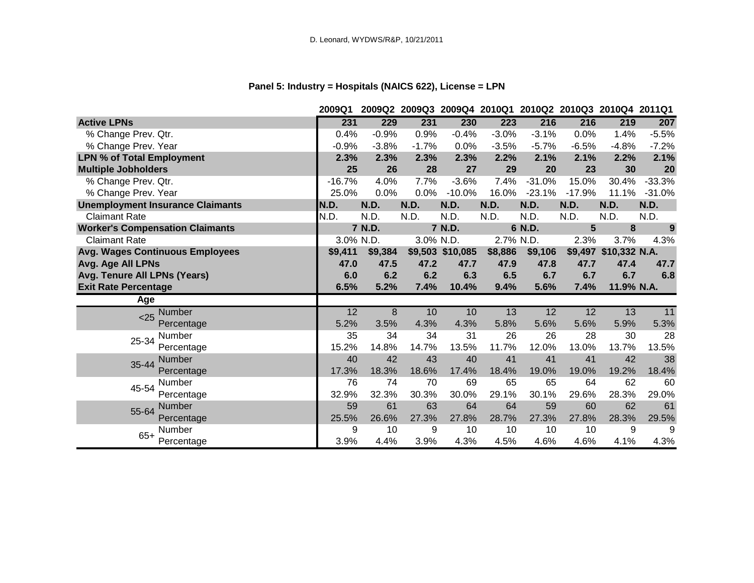# **Panel 5: Industry = Hospitals (NAICS 622), License = LPN**

|                                         | 2009Q1   |           |             |                  | 2009Q2 2009Q3 2009Q4 2010Q1 2010Q2 2010Q3 2010Q4 2011Q1 |          |                |                       |          |
|-----------------------------------------|----------|-----------|-------------|------------------|---------------------------------------------------------|----------|----------------|-----------------------|----------|
| <b>Active LPNs</b>                      | 231      | 229       | 231         | 230              | 223                                                     | 216      | 216            | 219                   | 207      |
| % Change Prev. Qtr.                     | 0.4%     | $-0.9%$   | 0.9%        | $-0.4%$          | $-3.0%$                                                 | $-3.1%$  | 0.0%           | 1.4%                  | $-5.5%$  |
| % Change Prev. Year                     | $-0.9%$  | $-3.8%$   | $-1.7%$     | 0.0%             | $-3.5%$                                                 | $-5.7%$  | $-6.5%$        | $-4.8%$               | $-7.2%$  |
| <b>LPN % of Total Employment</b>        | 2.3%     | 2.3%      | 2.3%        | 2.3%             | 2.2%                                                    | 2.1%     | 2.1%           | 2.2%                  | 2.1%     |
| <b>Multiple Jobholders</b>              | 25       | 26        | 28          | 27               | 29                                                      | 20       | 23             | 30                    | 20       |
| % Change Prev. Qtr.                     | $-16.7%$ | 4.0%      | 7.7%        | $-3.6%$          | 7.4%                                                    | $-31.0%$ | 15.0%          | 30.4%                 | $-33.3%$ |
| % Change Prev. Year                     | 25.0%    | 0.0%      | 0.0%        | $-10.0%$         | 16.0%                                                   | $-23.1%$ | $-17.9%$       | 11.1%                 | $-31.0%$ |
| <b>Unemployment Insurance Claimants</b> | N.D.     | N.D.      | <b>N.D.</b> | <b>N.D.</b>      | N.D.                                                    | N.D.     | N.D.           | N.D.                  | N.D.     |
| <b>Claimant Rate</b>                    | N.D.     | N.D.      | N.D.        | N.D.             | N.D.                                                    | N.D.     | N.D.           | N.D.                  | N.D.     |
| <b>Worker's Compensation Claimants</b>  |          | 7 N.D.    |             | 7 N.D.           |                                                         | 6 N.D.   | $5\phantom{1}$ | 8                     | 9        |
| <b>Claimant Rate</b>                    |          | 3.0% N.D. | 3.0% N.D.   |                  | 2.7% N.D.                                               |          | 2.3%           | 3.7%                  | 4.3%     |
| <b>Avg. Wages Continuous Employees</b>  | \$9,411  | \$9,384   |             | \$9,503 \$10,085 | \$8,886                                                 | \$9,106  |                | \$9,497 \$10,332 N.A. |          |
| Avg. Age All LPNs                       | 47.0     | 47.5      | 47.2        | 47.7             | 47.9                                                    | 47.8     | 47.7           | 47.4                  | 47.7     |
| Avg. Tenure All LPNs (Years)            | 6.0      | 6.2       | 6.2         | 6.3              | 6.5                                                     | 6.7      | 6.7            | 6.7                   | 6.8      |
| <b>Exit Rate Percentage</b>             | 6.5%     | 5.2%      | 7.4%        | 10.4%            | 9.4%                                                    | 5.6%     | 7.4%           | 11.9% N.A.            |          |
| Age                                     |          |           |             |                  |                                                         |          |                |                       |          |
| Number<br>< 25                          | 12       | 8         | 10          | 10               | 13                                                      | 12       | 12             | 13                    | 11       |
| Percentage                              | 5.2%     | 3.5%      | 4.3%        | 4.3%             | 5.8%                                                    | 5.6%     | 5.6%           | 5.9%                  | 5.3%     |
| Number<br>25-34                         | 35       | 34        | 34          | 31               | 26                                                      | 26       | 28             | 30                    | 28       |
| Percentage                              | 15.2%    | 14.8%     | 14.7%       | 13.5%            | 11.7%                                                   | 12.0%    | 13.0%          | 13.7%                 | 13.5%    |
| <b>Number</b><br>35-44                  | 40       | 42        | 43          | 40               | 41                                                      | 41       | 41             | 42                    | 38       |
| Percentage                              | 17.3%    | 18.3%     | 18.6%       | 17.4%            | 18.4%                                                   | 19.0%    | 19.0%          | 19.2%                 | 18.4%    |
| Number<br>45-54                         | 76       | 74        | 70          | 69               | 65                                                      | 65       | 64             | 62                    | 60       |
| Percentage                              | 32.9%    | 32.3%     | 30.3%       | 30.0%            | 29.1%                                                   | 30.1%    | 29.6%          | 28.3%                 | 29.0%    |
| Number<br>55-64                         | 59       | 61        | 63          | 64               | 64                                                      | 59       | 60             | 62                    | 61       |
| Percentage                              | 25.5%    | 26.6%     | 27.3%       | 27.8%            | 28.7%                                                   | 27.3%    | 27.8%          | 28.3%                 | 29.5%    |
| Number                                  | 9        | 10        | 9           | 10               | 10                                                      | 10       | 10             | 9                     | 9        |
| $65+$<br>Percentage                     | 3.9%     | 4.4%      | 3.9%        | 4.3%             | 4.5%                                                    | 4.6%     | 4.6%           | 4.1%                  | 4.3%     |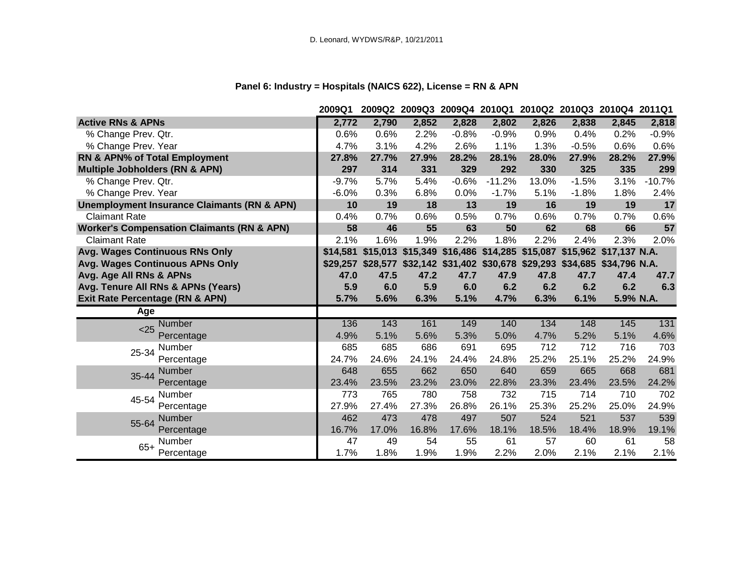# **Panel 6: Industry = Hospitals (NAICS 622), License = RN & APN**

|                                                        | 2009Q1   |       |       | 2009Q2 2009Q3 2009Q4 2010Q1 2010Q2 2010Q3 2010Q4 2011Q1                      |          |       |         |                        |          |
|--------------------------------------------------------|----------|-------|-------|------------------------------------------------------------------------------|----------|-------|---------|------------------------|----------|
| <b>Active RNs &amp; APNs</b>                           | 2,772    | 2,790 | 2,852 | 2,828                                                                        | 2,802    | 2,826 | 2,838   | 2,845                  | 2,818    |
| % Change Prev. Qtr.                                    | 0.6%     | 0.6%  | 2.2%  | $-0.8%$                                                                      | $-0.9%$  | 0.9%  | 0.4%    | 0.2%                   | $-0.9%$  |
| % Change Prev. Year                                    | 4.7%     | 3.1%  | 4.2%  | 2.6%                                                                         | 1.1%     | 1.3%  | $-0.5%$ | 0.6%                   | 0.6%     |
| RN & APN% of Total Employment                          | 27.8%    | 27.7% | 27.9% | 28.2%                                                                        | 28.1%    | 28.0% | 27.9%   | 28.2%                  | 27.9%    |
| <b>Multiple Jobholders (RN &amp; APN)</b>              | 297      | 314   | 331   | 329                                                                          | 292      | 330   | 325     | 335                    | 299      |
| % Change Prev. Qtr.                                    | $-9.7%$  | 5.7%  | 5.4%  | $-0.6%$                                                                      | $-11.2%$ | 13.0% | $-1.5%$ | 3.1%                   | $-10.7%$ |
| % Change Prev. Year                                    | $-6.0%$  | 0.3%  | 6.8%  | 0.0%                                                                         | $-1.7%$  | 5.1%  | $-1.8%$ | 1.8%                   | 2.4%     |
| <b>Unemployment Insurance Claimants (RN &amp; APN)</b> | 10       | 19    | 18    | 13                                                                           | 19       | 16    | 19      | 19                     | 17       |
| <b>Claimant Rate</b>                                   | 0.4%     | 0.7%  | 0.6%  | 0.5%                                                                         | 0.7%     | 0.6%  | 0.7%    | 0.7%                   | 0.6%     |
| <b>Worker's Compensation Claimants (RN &amp; APN)</b>  | 58       | 46    | 55    | 63                                                                           | 50       | 62    | 68      | 66                     | 57       |
| <b>Claimant Rate</b>                                   | 2.1%     | 1.6%  | 1.9%  | 2.2%                                                                         | 1.8%     | 2.2%  | 2.4%    | 2.3%                   | 2.0%     |
| Avg. Wages Continuous RNs Only                         | \$14,581 |       |       | \$15,013 \$15,349 \$16,486 \$14,285 \$15,087                                 |          |       |         | \$15,962 \$17,137 N.A. |          |
| Avg. Wages Continuous APNs Only                        |          |       |       | \$29,257 \$28,577 \$32,142 \$31,402 \$30,678 \$29,293 \$34,685 \$34,796 N.A. |          |       |         |                        |          |
| Avg. Age All RNs & APNs                                | 47.0     | 47.5  | 47.2  | 47.7                                                                         | 47.9     | 47.8  | 47.7    | 47.4                   | 47.7     |
| Avg. Tenure All RNs & APNs (Years)                     | 5.9      | 6.0   | 5.9   | 6.0                                                                          | 6.2      | 6.2   | 6.2     | 6.2                    | 6.3      |
| <b>Exit Rate Percentage (RN &amp; APN)</b>             | 5.7%     | 5.6%  | 6.3%  | 5.1%                                                                         | 4.7%     | 6.3%  | 6.1%    | 5.9% N.A.              |          |
| Age                                                    |          |       |       |                                                                              |          |       |         |                        |          |
| <b>Number</b><br>$25$                                  | 136      | 143   | 161   | 149                                                                          | 140      | 134   | 148     | 145                    | 131      |
| Percentage                                             | 4.9%     | 5.1%  | 5.6%  | 5.3%                                                                         | 5.0%     | 4.7%  | 5.2%    | 5.1%                   | 4.6%     |
| Number<br>25-34                                        | 685      | 685   | 686   | 691                                                                          | 695      | 712   | 712     | 716                    | 703      |
| Percentage                                             | 24.7%    | 24.6% | 24.1% | 24.4%                                                                        | 24.8%    | 25.2% | 25.1%   | 25.2%                  | 24.9%    |
| <b>Number</b><br>35-44                                 | 648      | 655   | 662   | 650                                                                          | 640      | 659   | 665     | 668                    | 681      |
| Percentage                                             | 23.4%    | 23.5% | 23.2% | 23.0%                                                                        | 22.8%    | 23.3% | 23.4%   | 23.5%                  | 24.2%    |
| Number<br>45-54                                        | 773      | 765   | 780   | 758                                                                          | 732      | 715   | 714     | 710                    | 702      |
| Percentage                                             | 27.9%    | 27.4% | 27.3% | 26.8%                                                                        | 26.1%    | 25.3% | 25.2%   | 25.0%                  | 24.9%    |
| <b>Number</b><br>55-64                                 | 462      | 473   | 478   | 497                                                                          | 507      | 524   | 521     | 537                    | 539      |
| Percentage                                             | 16.7%    | 17.0% | 16.8% | 17.6%                                                                        | 18.1%    | 18.5% | 18.4%   | 18.9%                  | 19.1%    |
| Number                                                 | 47       | 49    | 54    | 55                                                                           | 61       | 57    | 60      | 61                     | 58       |
| $65+$<br>Percentage                                    | 1.7%     | 1.8%  | 1.9%  | 1.9%                                                                         | 2.2%     | 2.0%  |         | 2.1%                   | 2.1%     |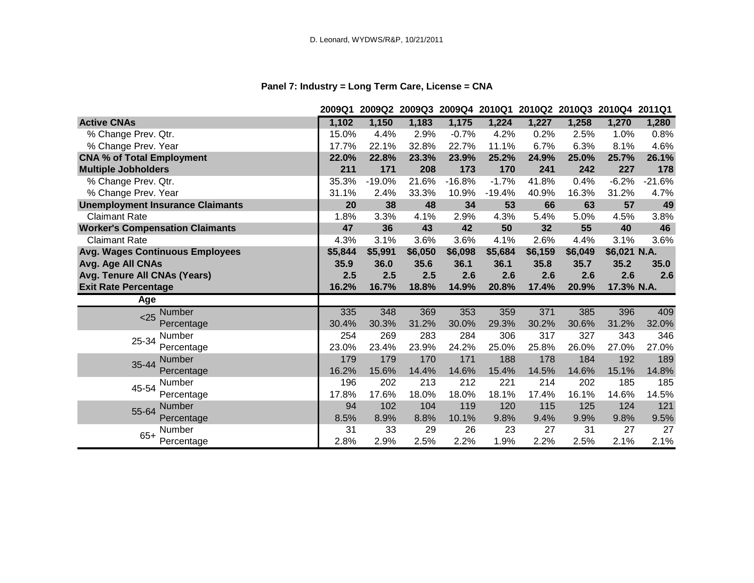# **Panel 7: Industry = Long Term Care, License = CNA**

|                                         | 2009Q1  | 2009Q2   |         |          |          |         | 2009Q3 2009Q4 2010Q1 2010Q2 2010Q3 2010Q4 2011Q1 |              |          |
|-----------------------------------------|---------|----------|---------|----------|----------|---------|--------------------------------------------------|--------------|----------|
| <b>Active CNAs</b>                      | 1,102   | 1,150    | 1,183   | 1,175    | 1,224    | 1,227   | 1,258                                            | 1,270        | 1,280    |
| % Change Prev. Qtr.                     | 15.0%   | 4.4%     | 2.9%    | $-0.7%$  | 4.2%     | 0.2%    | 2.5%                                             | 1.0%         | 0.8%     |
| % Change Prev. Year                     | 17.7%   | 22.1%    | 32.8%   | 22.7%    | 11.1%    | 6.7%    | 6.3%                                             | 8.1%         | 4.6%     |
| <b>CNA % of Total Employment</b>        | 22.0%   | 22.8%    | 23.3%   | 23.9%    | 25.2%    | 24.9%   | 25.0%                                            | 25.7%        | 26.1%    |
| <b>Multiple Jobholders</b>              | 211     | 171      | 208     | 173      | 170      | 241     | 242                                              | 227          | 178      |
| % Change Prev. Qtr.                     | 35.3%   | $-19.0%$ | 21.6%   | $-16.8%$ | $-1.7%$  | 41.8%   | 0.4%                                             | $-6.2%$      | $-21.6%$ |
| % Change Prev. Year                     | 31.1%   | 2.4%     | 33.3%   | 10.9%    | $-19.4%$ | 40.9%   | 16.3%                                            | 31.2%        | 4.7%     |
| <b>Unemployment Insurance Claimants</b> | 20      | 38       | 48      | 34       | 53       | 66      | 63                                               | 57           | 49       |
| <b>Claimant Rate</b>                    | 1.8%    | 3.3%     | 4.1%    | 2.9%     | 4.3%     | 5.4%    | 5.0%                                             | 4.5%         | 3.8%     |
| <b>Worker's Compensation Claimants</b>  | 47      | 36       | 43      | 42       | 50       | 32      | 55                                               | 40           | 46       |
| <b>Claimant Rate</b>                    | 4.3%    | 3.1%     | 3.6%    | 3.6%     | 4.1%     | 2.6%    | 4.4%                                             | 3.1%         | 3.6%     |
| <b>Avg. Wages Continuous Employees</b>  | \$5,844 | \$5,991  | \$6,050 | \$6,098  | \$5,684  | \$6,159 | \$6,049                                          | \$6,021 N.A. |          |
| Avg. Age All CNAs                       | 35.9    | 36.0     | 35.6    | 36.1     | 36.1     | 35.8    | 35.7                                             | 35.2         | 35.0     |
| Avg. Tenure All CNAs (Years)            | 2.5     | 2.5      | 2.5     | 2.6      | 2.6      | 2.6     | 2.6                                              | 2.6          | 2.6      |
| <b>Exit Rate Percentage</b>             | 16.2%   | 16.7%    | 18.8%   | 14.9%    | 20.8%    | 17.4%   | 20.9%                                            | 17.3% N.A.   |          |
| Age                                     |         |          |         |          |          |         |                                                  |              |          |
| <b>Number</b><br>< 25                   | 335     | 348      | 369     | 353      | 359      | 371     | 385                                              | 396          | 409      |
| Percentage                              | 30.4%   | 30.3%    | 31.2%   | 30.0%    | 29.3%    | 30.2%   | 30.6%                                            | 31.2%        | 32.0%    |
| Number<br>25-34                         | 254     | 269      | 283     | 284      | 306      | 317     | 327                                              | 343          | 346      |
| Percentage                              | 23.0%   | 23.4%    | 23.9%   | 24.2%    | 25.0%    | 25.8%   | 26.0%                                            | 27.0%        | 27.0%    |
| <b>Number</b><br>35-44                  | 179     | 179      | 170     | 171      | 188      | 178     | 184                                              | 192          | 189      |
| Percentage                              | 16.2%   | 15.6%    | 14.4%   | 14.6%    | 15.4%    | 14.5%   | 14.6%                                            | 15.1%        | 14.8%    |
| Number<br>45-54                         | 196     | 202      | 213     | 212      | 221      | 214     | 202                                              | 185          | 185      |
| Percentage                              | 17.8%   | 17.6%    | 18.0%   | 18.0%    | 18.1%    | 17.4%   | 16.1%                                            | 14.6%        | 14.5%    |
| Number<br>55-64                         | 94      | 102      | 104     | 119      | 120      | 115     | 125                                              | 124          | 121      |
| Percentage                              | 8.5%    | 8.9%     | 8.8%    | 10.1%    | 9.8%     | 9.4%    | 9.9%                                             | 9.8%         | 9.5%     |
| Number<br>$65+$                         | 31      | 33       | 29      | 26       | 23       | 27      | 31                                               | 27           | 27       |
| Percentage                              | 2.8%    | 2.9%     | 2.5%    | 2.2%     | 1.9%     | 2.2%    | 2.5%                                             | 2.1%         | 2.1%     |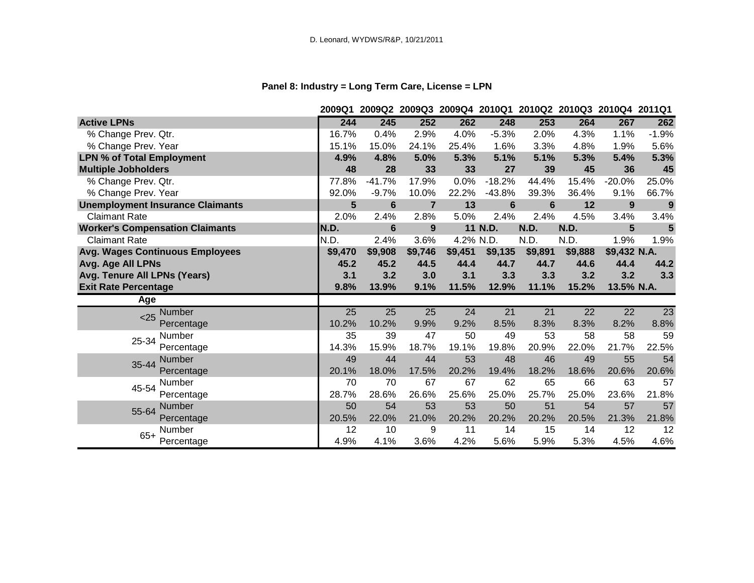# **Panel 8: Industry = Long Term Care, License = LPN**

|                                         | 2009Q1          |                 |                |           |                 |                 | 2009Q2 2009Q3 2009Q4 2010Q1 2010Q2 2010Q3 2010Q4 2011Q1 |                 |                 |
|-----------------------------------------|-----------------|-----------------|----------------|-----------|-----------------|-----------------|---------------------------------------------------------|-----------------|-----------------|
| <b>Active LPNs</b>                      | 244             | 245             | 252            | 262       | 248             | 253             | 264                                                     | 267             | 262             |
| % Change Prev. Qtr.                     | 16.7%           | 0.4%            | 2.9%           | 4.0%      | $-5.3%$         | 2.0%            | 4.3%                                                    | 1.1%            | $-1.9%$         |
| % Change Prev. Year                     | 15.1%           | 15.0%           | 24.1%          | 25.4%     | 1.6%            | 3.3%            | 4.8%                                                    | 1.9%            | 5.6%            |
| <b>LPN % of Total Employment</b>        | 4.9%            | 4.8%            | 5.0%           | 5.3%      | 5.1%            | 5.1%            | 5.3%                                                    | 5.4%            | 5.3%            |
| <b>Multiple Jobholders</b>              | 48              | 28              | 33             | 33        | 27              | 39              | 45                                                      | 36              | 45              |
| % Change Prev. Qtr.                     | 77.8%           | $-41.7%$        | 17.9%          | 0.0%      | $-18.2%$        | 44.4%           | 15.4%                                                   | $-20.0%$        | 25.0%           |
| % Change Prev. Year                     | 92.0%           | $-9.7%$         | 10.0%          | 22.2%     | $-43.8%$        | 39.3%           | 36.4%                                                   | 9.1%            | 66.7%           |
| <b>Unemployment Insurance Claimants</b> | 5               | $6\phantom{1}$  | $\overline{7}$ | 13        | $6\phantom{1}$  | $6\phantom{1}$  | 12                                                      | 9               | 9               |
| <b>Claimant Rate</b>                    | 2.0%            | 2.4%            | 2.8%           | 5.0%      | 2.4%            | 2.4%            | 4.5%                                                    | 3.4%            | 3.4%            |
| <b>Worker's Compensation Claimants</b>  | N.D.            | $6\phantom{1}$  | 9              |           | 11 N.D.         | N.D.            | N.D.                                                    | 5               | 5               |
| <b>Claimant Rate</b>                    | N.D.            | 2.4%            | 3.6%           | 4.2% N.D. |                 | N.D.            | N.D.                                                    | 1.9%            | 1.9%            |
| <b>Avg. Wages Continuous Employees</b>  | \$9,470         | \$9,908         | \$9,746        | \$9,451   | \$9,135         | \$9,891         | \$9,888                                                 | \$9,432 N.A.    |                 |
| Avg. Age All LPNs                       | 45.2            | 45.2            | 44.5           | 44.4      | 44.7            | 44.7            | 44.6                                                    | 44.4            | 44.2            |
| Avg. Tenure All LPNs (Years)            | 3.1             | 3.2             | 3.0            | 3.1       | 3.3             | 3.3             | 3.2                                                     | 3.2             | 3.3             |
| <b>Exit Rate Percentage</b>             | 9.8%            | 13.9%           | 9.1%           | 11.5%     | 12.9%           | 11.1%           | 15.2%                                                   | 13.5% N.A.      |                 |
| Age                                     |                 |                 |                |           |                 |                 |                                                         |                 |                 |
| Number<br>$25$                          | $\overline{25}$ | $\overline{25}$ | 25             | 24        | $\overline{21}$ | $\overline{21}$ | 22                                                      | $\overline{22}$ | $\overline{23}$ |
| Percentage                              | 10.2%           | 10.2%           | 9.9%           | 9.2%      | 8.5%            | 8.3%            | 8.3%                                                    | 8.2%            | 8.8%            |
| Number<br>25-34                         | 35              | 39              | 47             | 50        | 49              | 53              | 58                                                      | 58              | 59              |
| Percentage                              | 14.3%           | 15.9%           | 18.7%          | 19.1%     | 19.8%           | 20.9%           | 22.0%                                                   | 21.7%           | 22.5%           |
| <b>Number</b><br>35-44                  | 49              | 44              | 44             | 53        | 48              | 46              | 49                                                      | 55              | 54              |
| Percentage                              | 20.1%           | 18.0%           | 17.5%          | 20.2%     | 19.4%           | 18.2%           | 18.6%                                                   | 20.6%           | 20.6%           |
| Number<br>45-54                         | 70              | 70              | 67             | 67        | 62              | 65              | 66                                                      | 63              | 57              |
| Percentage                              | 28.7%           | 28.6%           | 26.6%          | 25.6%     | 25.0%           | 25.7%           | 25.0%                                                   | 23.6%           | 21.8%           |
| Number<br>55-64                         | 50              | 54              | 53             | 53        | 50              | 51              | 54                                                      | 57              | 57              |
| Percentage                              | 20.5%           | 22.0%           | 21.0%          | 20.2%     | 20.2%           | 20.2%           | 20.5%                                                   | 21.3%           | 21.8%           |
| Number                                  | 12              | 10              | 9              | 11        | 14              | 15              | 14                                                      | 12              | 12              |
| $65+$<br>Percentage                     | 4.9%            | 4.1%            | 3.6%           | 4.2%      | 5.6%            | 5.9%            | 5.3%                                                    | 4.5%            | 4.6%            |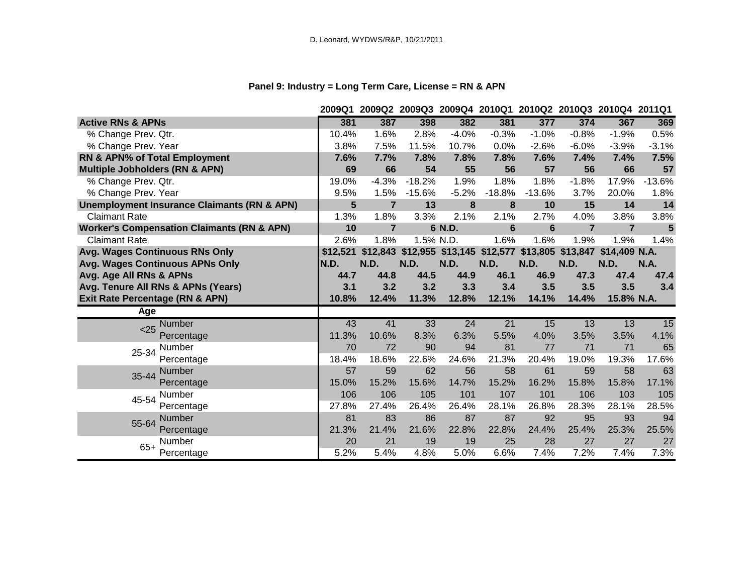# **Panel 9: Industry = Long Term Care, License = RN & APN**

|                                                        | 2009Q1   |                |           | 2009Q2 2009Q3 2009Q4 2010Q1 2010Q2 2010Q3 2010Q4 2011Q1 |                 |          |                |                |             |
|--------------------------------------------------------|----------|----------------|-----------|---------------------------------------------------------|-----------------|----------|----------------|----------------|-------------|
| <b>Active RNs &amp; APNs</b>                           | 381      | 387            | 398       | 382                                                     | 381             | 377      | 374            | 367            | 369         |
| % Change Prev. Qtr.                                    | 10.4%    | 1.6%           | 2.8%      | $-4.0%$                                                 | $-0.3%$         | $-1.0%$  | $-0.8%$        | $-1.9%$        | 0.5%        |
| % Change Prev. Year                                    | 3.8%     | 7.5%           | 11.5%     | 10.7%                                                   | 0.0%            | $-2.6%$  | $-6.0%$        | $-3.9%$        | $-3.1%$     |
| RN & APN% of Total Employment                          | 7.6%     | 7.7%           | 7.8%      | 7.8%                                                    | 7.8%            | 7.6%     | 7.4%           | 7.4%           | 7.5%        |
| <b>Multiple Jobholders (RN &amp; APN)</b>              | 69       | 66             | 54        | 55                                                      | 56              | 57       | 56             | 66             | 57          |
| % Change Prev. Qtr.                                    | 19.0%    | $-4.3%$        | $-18.2%$  | 1.9%                                                    | 1.8%            | 1.8%     | $-1.8%$        | 17.9%          | $-13.6%$    |
| % Change Prev. Year                                    | 9.5%     | 1.5%           | $-15.6%$  | $-5.2%$                                                 | $-18.8%$        | $-13.6%$ | 3.7%           | 20.0%          | 1.8%        |
| <b>Unemployment Insurance Claimants (RN &amp; APN)</b> | 5        | $\overline{7}$ | 13        | 8                                                       | 8               | 10       | 15             | 14             | 14          |
| <b>Claimant Rate</b>                                   | 1.3%     | 1.8%           | 3.3%      | 2.1%                                                    | 2.1%            | 2.7%     | 4.0%           | 3.8%           | 3.8%        |
| <b>Worker's Compensation Claimants (RN &amp; APN)</b>  | 10       | $\overline{7}$ |           | 6 N.D.                                                  | $6\phantom{1}6$ | 6        | $\overline{7}$ | $\overline{7}$ | 5           |
| <b>Claimant Rate</b>                                   | 2.6%     | 1.8%           | 1.5% N.D. |                                                         | 1.6%            | 1.6%     | 1.9%           | 1.9%           | 1.4%        |
| Avg. Wages Continuous RNs Only                         | \$12,521 | \$12,843       |           | \$12,955 \$13,145 \$12,577 \$13,805 \$13,847            |                 |          |                | \$14,409 N.A.  |             |
| Avg. Wages Continuous APNs Only                        | N.D.     | N.D.           | N.D.      | N.D.                                                    | N.D.            | N.D.     | N.D.           | N.D.           | <b>N.A.</b> |
| Avg. Age All RNs & APNs                                | 44.7     | 44.8           | 44.5      | 44.9                                                    | 46.1            | 46.9     | 47.3           | 47.4           | 47.4        |
| Avg. Tenure All RNs & APNs (Years)                     | 3.1      | 3.2            | 3.2       | 3.3                                                     | 3.4             | 3.5      | 3.5            | 3.5            | 3.4         |
| Exit Rate Percentage (RN & APN)                        | 10.8%    | 12.4%          | 11.3%     | 12.8%                                                   | 12.1%           | 14.1%    | 14.4%          | 15.8% N.A.     |             |
| Age                                                    |          |                |           |                                                         |                 |          |                |                |             |
| Number<br>< 25                                         | 43       | 41             | 33        | 24                                                      | $\overline{21}$ | 15       | 13             | 13             | 15          |
| Percentage                                             | 11.3%    | 10.6%          | 8.3%      | 6.3%                                                    | 5.5%            | 4.0%     | 3.5%           | 3.5%           | 4.1%        |
| <b>Number</b><br>25-34                                 | 70       | 72             | 90        | 94                                                      | 81              | 77       | 71             | 71             | 65          |
| Percentage                                             | 18.4%    | 18.6%          | 22.6%     | 24.6%                                                   | 21.3%           | 20.4%    | 19.0%          | 19.3%          | 17.6%       |
| Number<br>35-44                                        | 57       | 59             | 62        | 56                                                      | 58              | 61       | 59             | 58             | 63          |
| Percentage                                             | 15.0%    | 15.2%          | 15.6%     | 14.7%                                                   | 15.2%           | 16.2%    | 15.8%          | 15.8%          | 17.1%       |
| <b>Number</b><br>45-54                                 | 106      | 106            | 105       | 101                                                     | 107             | 101      | 106            | 103            | 105         |
| Percentage                                             | 27.8%    | 27.4%          | 26.4%     | 26.4%                                                   | 28.1%           | 26.8%    | 28.3%          | 28.1%          | 28.5%       |
| Number<br>55-64                                        | 81       | 83             | 86        | 87                                                      | 87              | 92       | 95             | 93             | 94          |
| Percentage                                             | 21.3%    | 21.4%          | 21.6%     | 22.8%                                                   | 22.8%           | 24.4%    | 25.4%          | 25.3%          | 25.5%       |
| Number                                                 | 20       | 21             | 19        | 19                                                      | 25              | 28       | 27             | 27             | 27          |
| $65+$<br>Percentage                                    | 5.2%     | 5.4%           | 4.8%      | 5.0%                                                    | 6.6%            | 7.4%     | 7.2%           | 7.4%           | 7.3%        |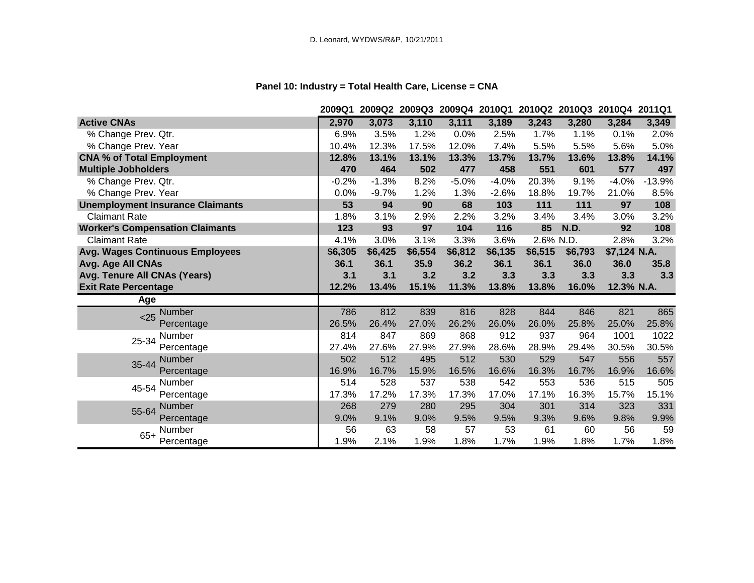# **Panel 10: Industry = Total Health Care, License = CNA**

|                                         | 2009Q1  |         |         |         |         | 2009Q2 2009Q3 2009Q4 2010Q1 2010Q2 2010Q3 2010Q4 2011Q1 |         |              |          |
|-----------------------------------------|---------|---------|---------|---------|---------|---------------------------------------------------------|---------|--------------|----------|
| <b>Active CNAs</b>                      | 2,970   | 3,073   | 3,110   | 3,111   | 3,189   | 3,243                                                   | 3,280   | 3,284        | 3,349    |
| % Change Prev. Qtr.                     | 6.9%    | 3.5%    | 1.2%    | 0.0%    | 2.5%    | 1.7%                                                    | 1.1%    | 0.1%         | 2.0%     |
| % Change Prev. Year                     | 10.4%   | 12.3%   | 17.5%   | 12.0%   | 7.4%    | 5.5%                                                    | 5.5%    | 5.6%         | 5.0%     |
| <b>CNA % of Total Employment</b>        | 12.8%   | 13.1%   | 13.1%   | 13.3%   | 13.7%   | 13.7%                                                   | 13.6%   | 13.8%        | 14.1%    |
| <b>Multiple Jobholders</b>              | 470     | 464     | 502     | 477     | 458     | 551                                                     | 601     | 577          | 497      |
| % Change Prev. Qtr.                     | $-0.2%$ | $-1.3%$ | 8.2%    | $-5.0%$ | $-4.0%$ | 20.3%                                                   | 9.1%    | $-4.0%$      | $-13.9%$ |
| % Change Prev. Year                     | 0.0%    | $-9.7%$ | 1.2%    | 1.3%    | $-2.6%$ | 18.8%                                                   | 19.7%   | 21.0%        | 8.5%     |
| <b>Unemployment Insurance Claimants</b> | 53      | 94      | 90      | 68      | 103     | 111                                                     | 111     | 97           | 108      |
| <b>Claimant Rate</b>                    | 1.8%    | 3.1%    | 2.9%    | 2.2%    | 3.2%    | 3.4%                                                    | 3.4%    | 3.0%         | 3.2%     |
| <b>Worker's Compensation Claimants</b>  | 123     | 93      | 97      | 104     | 116     | 85                                                      | N.D.    | 92           | 108      |
| <b>Claimant Rate</b>                    | 4.1%    | 3.0%    | 3.1%    | 3.3%    | 3.6%    | 2.6% N.D.                                               |         | 2.8%         | 3.2%     |
| <b>Avg. Wages Continuous Employees</b>  | \$6,305 | \$6,425 | \$6,554 | \$6,812 | \$6,135 | \$6,515                                                 | \$6,793 | \$7,124 N.A. |          |
| Avg. Age All CNAs                       | 36.1    | 36.1    | 35.9    | 36.2    | 36.1    | 36.1                                                    | 36.0    | 36.0         | 35.8     |
| Avg. Tenure All CNAs (Years)            | 3.1     | 3.1     | 3.2     | 3.2     | 3.3     | 3.3                                                     | 3.3     | 3.3          | 3.3      |
| <b>Exit Rate Percentage</b>             | 12.2%   | 13.4%   | 15.1%   | 11.3%   | 13.8%   | 13.8%                                                   | 16.0%   | 12.3% N.A.   |          |
| Age                                     |         |         |         |         |         |                                                         |         |              |          |
| Number<br>$25$                          | 786     | 812     | 839     | 816     | 828     | 844                                                     | 846     | 821          | 865      |
| Percentage                              | 26.5%   | 26.4%   | 27.0%   | 26.2%   | 26.0%   | 26.0%                                                   | 25.8%   | 25.0%        | 25.8%    |
| Number<br>25-34                         | 814     | 847     | 869     | 868     | 912     | 937                                                     | 964     | 1001         | 1022     |
| Percentage                              | 27.4%   | 27.6%   | 27.9%   | 27.9%   | 28.6%   | 28.9%                                                   | 29.4%   | 30.5%        | 30.5%    |
| <b>Number</b><br>35-44                  | 502     | 512     | 495     | 512     | 530     | 529                                                     | 547     | 556          | 557      |
| Percentage                              | 16.9%   | 16.7%   | 15.9%   | 16.5%   | 16.6%   | 16.3%                                                   | 16.7%   | 16.9%        | 16.6%    |
| Number<br>45-54                         | 514     | 528     | 537     | 538     | 542     | 553                                                     | 536     | 515          | 505      |
| Percentage                              | 17.3%   | 17.2%   | 17.3%   | 17.3%   | 17.0%   | 17.1%                                                   | 16.3%   | 15.7%        | 15.1%    |
| Number<br>55-64                         | 268     | 279     | 280     | 295     | 304     | 301                                                     | 314     | 323          | 331      |
| Percentage                              | 9.0%    | 9.1%    | 9.0%    | 9.5%    | 9.5%    | 9.3%                                                    | 9.6%    | 9.8%         | 9.9%     |
| Number<br>$65+$                         | 56      | 63      | 58      | 57      | 53      | 61                                                      | 60      | 56           | 59       |
| Percentage                              | 1.9%    | 2.1%    | 1.9%    | 1.8%    | 1.7%    | 1.9%                                                    | 1.8%    | 1.7%         | 1.8%     |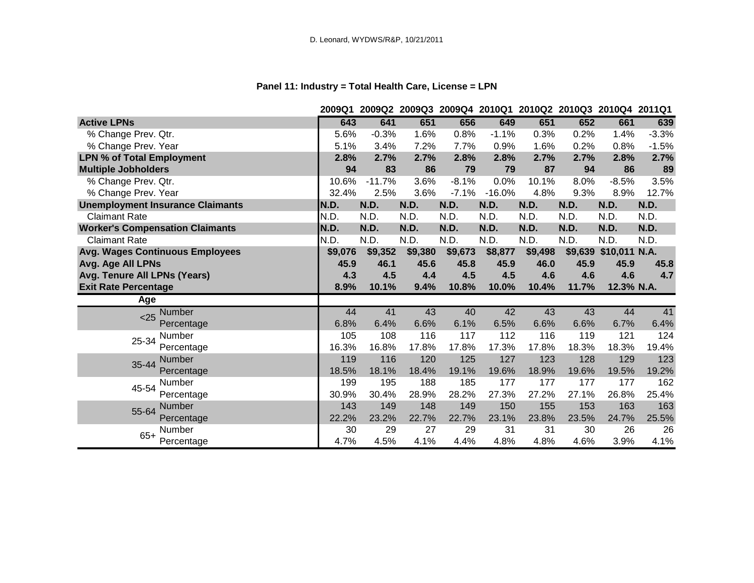# **Panel 11: Industry = Total Health Care, License = LPN**

|                                         | 2009Q1  |          |         |         | 2009Q2 2009Q3 2009Q4 2010Q1 2010Q2 2010Q3 2010Q4 2011Q1 |         |         |               |         |
|-----------------------------------------|---------|----------|---------|---------|---------------------------------------------------------|---------|---------|---------------|---------|
| <b>Active LPNs</b>                      | 643     | 641      | 651     | 656     | 649                                                     | 651     | 652     | 661           | 639     |
| % Change Prev. Qtr.                     | 5.6%    | $-0.3%$  | 1.6%    | 0.8%    | $-1.1%$                                                 | 0.3%    | 0.2%    | 1.4%          | $-3.3%$ |
| % Change Prev. Year                     | 5.1%    | 3.4%     | 7.2%    | 7.7%    | 0.9%                                                    | 1.6%    | 0.2%    | 0.8%          | $-1.5%$ |
| <b>LPN % of Total Employment</b>        | 2.8%    | 2.7%     | 2.7%    | 2.8%    | 2.8%                                                    | 2.7%    | 2.7%    | 2.8%          | 2.7%    |
| <b>Multiple Jobholders</b>              | 94      | 83       | 86      | 79      | 79                                                      | 87      | 94      | 86            | 89      |
| % Change Prev. Qtr.                     | 10.6%   | $-11.7%$ | 3.6%    | $-8.1%$ | 0.0%                                                    | 10.1%   | 8.0%    | $-8.5%$       | 3.5%    |
| % Change Prev. Year                     | 32.4%   | 2.5%     | 3.6%    | $-7.1%$ | $-16.0%$                                                | 4.8%    | 9.3%    | 8.9%          | 12.7%   |
| <b>Unemployment Insurance Claimants</b> | N.D.    | N.D.     | N.D.    | N.D.    | N.D.                                                    | N.D.    | N.D.    | N.D.          | N.D.    |
| <b>Claimant Rate</b>                    | N.D.    | N.D.     | N.D.    | N.D.    | N.D.                                                    | N.D.    | N.D.    | N.D.          | N.D.    |
| <b>Worker's Compensation Claimants</b>  | N.D.    | N.D.     | N.D.    | N.D.    | N.D.                                                    | N.D.    | N.D.    | N.D.          | N.D.    |
| <b>Claimant Rate</b>                    | N.D.    | N.D.     | N.D.    | N.D.    | N.D.                                                    | N.D.    | N.D.    | N.D.          | N.D.    |
| <b>Avg. Wages Continuous Employees</b>  | \$9,076 | \$9,352  | \$9,380 | \$9,673 | \$8,877                                                 | \$9,498 | \$9,639 | \$10,011 N.A. |         |
| Avg. Age All LPNs                       | 45.9    | 46.1     | 45.6    | 45.8    | 45.9                                                    | 46.0    | 45.9    | 45.9          | 45.8    |
| Avg. Tenure All LPNs (Years)            | 4.3     | 4.5      | 4.4     | 4.5     | 4.5                                                     | 4.6     | 4.6     | 4.6           | 4.7     |
| <b>Exit Rate Percentage</b>             | 8.9%    | 10.1%    | 9.4%    | 10.8%   | 10.0%                                                   | 10.4%   | 11.7%   | 12.3% N.A.    |         |
| Age                                     |         |          |         |         |                                                         |         |         |               |         |
| Number<br>$25$                          | 44      | 41       | 43      | 40      | 42                                                      | 43      | 43      | 44            | 41      |
| Percentage                              | 6.8%    | 6.4%     | 6.6%    | 6.1%    | 6.5%                                                    | 6.6%    | 6.6%    | 6.7%          | 6.4%    |
| Number<br>25-34                         | 105     | 108      | 116     | 117     | 112                                                     | 116     | 119     | 121           | 124     |
| Percentage                              | 16.3%   | 16.8%    | 17.8%   | 17.8%   | 17.3%                                                   | 17.8%   | 18.3%   | 18.3%         | 19.4%   |
| <b>Number</b><br>35-44                  | 119     | 116      | 120     | 125     | 127                                                     | 123     | 128     | 129           | 123     |
| Percentage                              | 18.5%   | 18.1%    | 18.4%   | 19.1%   | 19.6%                                                   | 18.9%   | 19.6%   | 19.5%         | 19.2%   |
| Number<br>45-54                         | 199     | 195      | 188     | 185     | 177                                                     | 177     | 177     | 177           | 162     |
| Percentage                              | 30.9%   | 30.4%    | 28.9%   | 28.2%   | 27.3%                                                   | 27.2%   | 27.1%   | 26.8%         | 25.4%   |
| Number<br>55-64                         | 143     | 149      | 148     | 149     | 150                                                     | 155     | 153     | 163           | 163     |
| Percentage                              | 22.2%   | 23.2%    | 22.7%   | 22.7%   | 23.1%                                                   | 23.8%   | 23.5%   | 24.7%         | 25.5%   |
| Number<br>$65+$                         | 30      | 29       | 27      | 29      | 31                                                      | 31      | 30      | 26            | 26      |
| Percentage                              | 4.7%    | 4.5%     | 4.1%    | 4.4%    | 4.8%                                                    | 4.8%    | 4.6%    | 3.9%          | 4.1%    |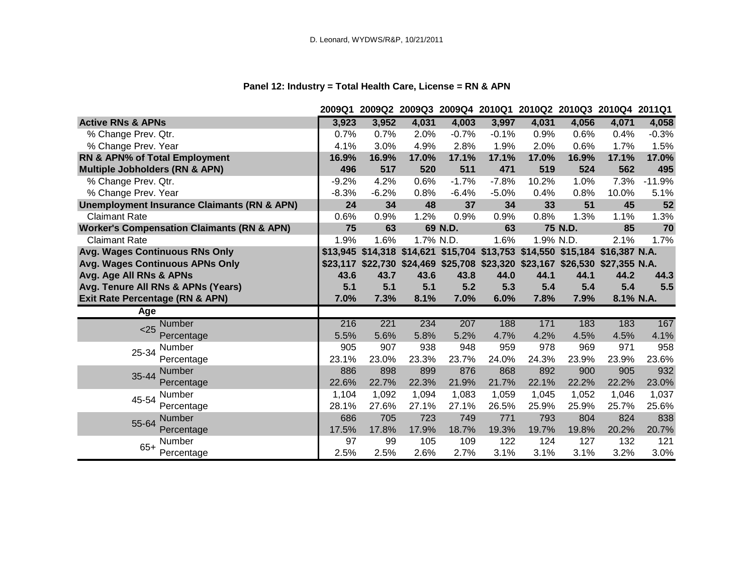# **Panel 12: Industry = Total Health Care, License = RN & APN**

|                                                        | 2009Q1  | 2009Q2 2009Q3 2009Q4 2010Q1 2010Q2 2010Q3 2010Q4 2011Q1                      |           |         |         |           |         |           |          |
|--------------------------------------------------------|---------|------------------------------------------------------------------------------|-----------|---------|---------|-----------|---------|-----------|----------|
| <b>Active RNs &amp; APNs</b>                           | 3,923   | 3,952                                                                        | 4,031     | 4,003   | 3,997   | 4,031     | 4,056   | 4,071     | 4,058    |
| % Change Prev. Qtr.                                    | 0.7%    | 0.7%                                                                         | 2.0%      | $-0.7%$ | $-0.1%$ | 0.9%      | 0.6%    | 0.4%      | $-0.3%$  |
| % Change Prev. Year                                    | 4.1%    | 3.0%                                                                         | 4.9%      | 2.8%    | 1.9%    | 2.0%      | 0.6%    | 1.7%      | 1.5%     |
| RN & APN% of Total Employment                          | 16.9%   | 16.9%                                                                        | 17.0%     | 17.1%   | 17.1%   | 17.0%     | 16.9%   | 17.1%     | 17.0%    |
| <b>Multiple Jobholders (RN &amp; APN)</b>              | 496     | 517                                                                          | 520       | 511     | 471     | 519       | 524     | 562       | 495      |
| % Change Prev. Qtr.                                    | $-9.2%$ | 4.2%                                                                         | 0.6%      | $-1.7%$ | $-7.8%$ | 10.2%     | 1.0%    | 7.3%      | $-11.9%$ |
| % Change Prev. Year                                    | $-8.3%$ | $-6.2%$                                                                      | 0.8%      | $-6.4%$ | $-5.0%$ | 0.4%      | 0.8%    | 10.0%     | 5.1%     |
| <b>Unemployment Insurance Claimants (RN &amp; APN)</b> | 24      | 34                                                                           | 48        | 37      | 34      | 33        | 51      | 45        | 52       |
| <b>Claimant Rate</b>                                   | 0.6%    | 0.9%                                                                         | 1.2%      | 0.9%    | 0.9%    | 0.8%      | 1.3%    | 1.1%      | 1.3%     |
| <b>Worker's Compensation Claimants (RN &amp; APN)</b>  | 75      | 63                                                                           |           | 69 N.D. | 63      |           | 75 N.D. | 85        | 70       |
| <b>Claimant Rate</b>                                   | 1.9%    | 1.6%                                                                         | 1.7% N.D. |         | 1.6%    | 1.9% N.D. |         | 2.1%      | 1.7%     |
| Avg. Wages Continuous RNs Only                         |         | \$13,945 \$14,318 \$14,621 \$15,704 \$13,753 \$14,550 \$15,184 \$16,387 N.A. |           |         |         |           |         |           |          |
| Avg. Wages Continuous APNs Only                        |         | \$23,117 \$22,730 \$24,469 \$25,708 \$23,320 \$23,167 \$26,530 \$27,355 N.A. |           |         |         |           |         |           |          |
| Avg. Age All RNs & APNs                                | 43.6    | 43.7                                                                         | 43.6      | 43.8    | 44.0    | 44.1      | 44.1    | 44.2      | 44.3     |
| Avg. Tenure All RNs & APNs (Years)                     | 5.1     | 5.1                                                                          | 5.1       | 5.2     | 5.3     | 5.4       | 5.4     | 5.4       | 5.5      |
|                                                        |         |                                                                              |           |         |         |           |         |           |          |
| Exit Rate Percentage (RN & APN)                        | 7.0%    | 7.3%                                                                         | 8.1%      | 7.0%    | 6.0%    | 7.8%      | 7.9%    | 8.1% N.A. |          |
| Age                                                    |         |                                                                              |           |         |         |           |         |           |          |
| Number                                                 | 216     | 221                                                                          | 234       | 207     | 188     | 171       | 183     | 183       | 167      |
| < 25<br>Percentage                                     | 5.5%    | 5.6%                                                                         | 5.8%      | 5.2%    | 4.7%    | 4.2%      | 4.5%    | 4.5%      | 4.1%     |
| <b>Number</b>                                          | 905     | 907                                                                          | 938       | 948     | 959     | 978       | 969     | 971       | 958      |
| 25-34<br>Percentage                                    | 23.1%   | 23.0%                                                                        | 23.3%     | 23.7%   | 24.0%   | 24.3%     | 23.9%   | 23.9%     | 23.6%    |
| <b>Number</b>                                          | 886     | 898                                                                          | 899       | 876     | 868     | 892       | 900     | 905       | 932      |
| 35-44<br>Percentage                                    | 22.6%   | 22.7%                                                                        | 22.3%     | 21.9%   | 21.7%   | 22.1%     | 22.2%   | 22.2%     | 23.0%    |
| Number                                                 | 1,104   | 1,092                                                                        | 1,094     | 1,083   | 1,059   | 1,045     | 1,052   | 1,046     | 1,037    |
| 45-54<br>Percentage                                    | 28.1%   | 27.6%                                                                        | 27.1%     | 27.1%   | 26.5%   | 25.9%     | 25.9%   | 25.7%     | 25.6%    |
| <b>Number</b>                                          | 686     | 705                                                                          | 723       | 749     | 771     | 793       | 804     | 824       | 838      |
| 55-64<br>Percentage                                    | 17.5%   | 17.8%                                                                        | 17.9%     | 18.7%   | 19.3%   | 19.7%     | 19.8%   | 20.2%     | 20.7%    |
| Number<br>$65+$                                        | 97      | 99                                                                           | 105       | 109     | 122     | 124       | 127     | 132       | 121      |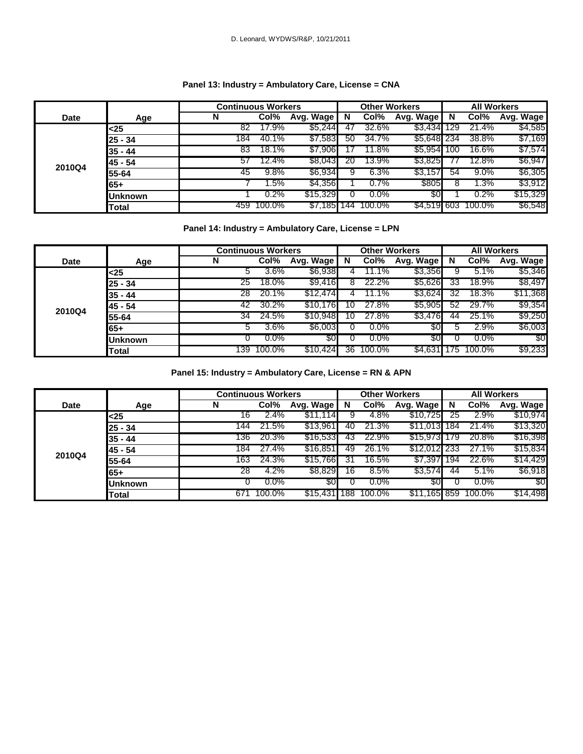#### **Panel 13: Industry = Ambulatory Care, License = CNA**

|             |                | <b>Continuous Workers</b> |        |           |     | <b>Other Workers</b> |             |     | <b>All Workers</b> |           |
|-------------|----------------|---------------------------|--------|-----------|-----|----------------------|-------------|-----|--------------------|-----------|
| <b>Date</b> | Age            | N                         | Col%   | Avg. Wage | N   | Col%                 | Avg. Wage   | N   | Col%               | Avg. Wage |
|             | $25$           | 82                        | 17.9%  | \$5,244   | 47  | 32.6%                | \$3,434     | 129 | 21.4%              | \$4,585   |
|             | 25 - 34        | 184                       | 40.1%  | \$7,583   | 50  | 34.7%                | \$5,648 234 |     | 38.8%              | \$7,169   |
|             | 35 - 44        | 83                        | 18.1%  | \$7,906   |     | 11.8%                | \$5.9541    | 100 | 16.6%              | \$7,574   |
|             | 45 - 54        | 57                        | 12.4%  | \$8,043   | 20  | 13.9%                | \$3,825     |     | 12.8%              | \$6,947   |
| 2010Q4      | 55-64          | 45                        | 9.8%   | \$6,934   |     | 6.3%                 | \$3,157     | 54  | $9.0\%$            | \$6,305   |
|             | 65+            |                           | 1.5%   | \$4,356   |     | 0.7%                 | \$805       | 8   | $.3\%$             | \$3,912   |
|             | <b>Juknown</b> |                           | 0.2%   | \$15,329  |     | $0.0\%$              | \$0         |     | $0.2\%$            | \$15,329  |
|             | Total          | 459                       | 100.0% | \$7,185   | 144 | 100.0%               | \$4,519 603 |     | 100.0%             | \$6,548   |

#### **Panel 14: Industry = Ambulatory Care, License = LPN**

|             |                | <b>Continuous Workers</b> |         |           |     | <b>Other Workers</b> |                 |    | <b>All Workers</b> |           |
|-------------|----------------|---------------------------|---------|-----------|-----|----------------------|-----------------|----|--------------------|-----------|
| <b>Date</b> | Age            | N                         | Col%    | Avg. Wage | N   | Col%                 | Avg. Wage       | N  | Col%               | Avg. Wage |
|             | <25            |                           | 3.6%    | \$6,938   |     | 11.1%                | \$3,356         |    | 5.1%               | \$5,346   |
|             | 25 - 34        | 25                        | 18.0%   | \$9,416   | 8   | 22.2%                | \$5,626         | 33 | 18.9%              | \$8,497   |
|             | 35 - 44        | 28                        | 20.1%   | \$12,474  |     | $1.1\%$              | \$3,624         | 32 | 18.3%              | \$11,368  |
|             | 45 - 54        | 42                        | 30.2%   | \$10,176  | ' O | 27.8%                | \$5,905         | 52 | 29.7%              | \$9,354   |
| 2010Q4      | 55-64          | 34                        | 24.5%   | \$10,948  | 10  | 27.8%                | \$3,476         | 44 | 25.1%              | \$9,250   |
|             | 65+            |                           | 3.6%    | \$6,003   |     | $0.0\%$              | 30 <sup>°</sup> |    | 2.9%               | \$6,003   |
|             | <b>Unknown</b> |                           | $0.0\%$ | \$0       |     | $0.0\%$              | \$0             |    | $0.0\%$            | \$0       |
|             | Total          | 39                        | 100.0%  | \$10,424  | 36  | 100.0%               | \$4,631         | 75 | 100.0%             | \$9,233   |

**Panel 15: Industry = Ambulatory Care, License = RN & APN**

|             |                | <b>Continuous Workers</b> |         |           |     | <b>Other Workers</b> |              |     | <b>All Workers</b> |           |
|-------------|----------------|---------------------------|---------|-----------|-----|----------------------|--------------|-----|--------------------|-----------|
| <b>Date</b> | Age            | N                         | Col%    | Avg. Wage | N   | Col%                 | Avg. Wage    | N   | Col%               | Avg. Wage |
|             | <25            | 16                        | 2.4%    | \$11,114  |     | 4.8%                 | \$10,725     | 25  | 2.9%               | \$10,974  |
|             | $25 - 34$      | 144                       | 21.5%   | \$13,961  | 40  | 21.3%                | \$11,013     | 184 | 21.4%              | \$13,320  |
|             | $35 - 44$      | 136                       | 20.3%   | \$16,533  | 43  | 22.9%                | \$15.973     | 179 | 20.8%              | \$16,398  |
|             | 45 - 54        | 184                       | 27.4%   | \$16,851  | 49  | 26.1%                | \$12,012 233 |     | 27.1%              | \$15,834  |
| 2010Q4      | 55-64          | 163                       | 24.3%   | \$15,766  | 31  | 16.5%                | \$7,397      | 194 | 22.6%              | \$14,429  |
|             | 65+            | 28                        | 4.2%    | \$8,829   | 16  | 8.5%                 | \$3,574      | 44  | 5.1%               | \$6,918   |
|             | <b>Unknown</b> |                           | $0.0\%$ | 80        |     | $0.0\%$              | \$0          |     | $0.0\%$            | \$0       |
|             | Total          | 671                       | 100.0%  | \$15,431  | 188 | 100.0%               | \$11,165 859 |     | 100.0%             | \$14,498  |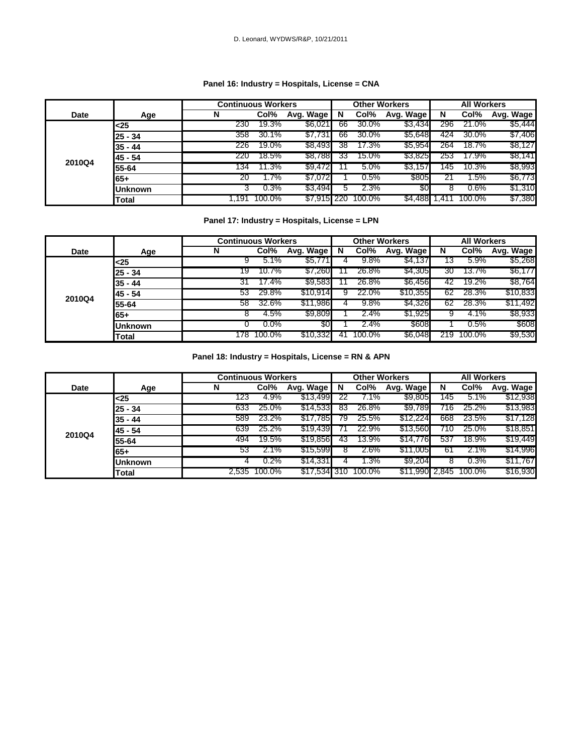#### **Panel 16: Industry = Hospitals, License = CNA**

|             |                | <b>Continuous Workers</b> |        |           |     | <b>Other Workers</b> |                |     | <b>All Workers</b> |           |
|-------------|----------------|---------------------------|--------|-----------|-----|----------------------|----------------|-----|--------------------|-----------|
| <b>Date</b> | Age            | N                         | Col%   | Avg. Wage | N   | Col%                 | Avg. Wage      | N   | Col%               | Avg. Wage |
|             | $25$           | 230                       | 19.3%  | \$6,021   | 66  | 30.0%                | \$3,434        | 296 | 21.0%              | \$5,444   |
|             | $25 - 34$      | 358                       | 30.1%  | \$7,731   | 66  | 30.0%                | <b>\$5,648</b> | 424 | 30.0%              | \$7,406   |
|             | $35 - 44$      | 226                       | 19.0%  | \$8,493   | 38  | 17.3%                | \$5,954        | 264 | 18.7%              | \$8,127   |
|             | 145 - 54       | 220                       | 18.5%  | \$8,788   | 33  | 15.0%                | \$3,825        | 253 | 17.9%              | \$8,141   |
| 2010Q4      | 55-64          | 134                       | 11.3%  | \$9,472   |     | 5.0%                 | \$3,157        | 45  | 10.3%              | \$8,993   |
|             | 65+            | 20                        | 1.7%   | \$7,072   |     | 0.5%                 | \$805          |     | .5%                | \$6,773   |
|             | <b>Unknown</b> | د                         | 0.3%   | \$3,494   | :C  | 2.3%                 | \$0            | ୪   | $0.6\%$            | \$1,310   |
|             | <b>Total</b>   | . 191. ،                  | 100.0% | \$7,915   | 220 | 100.0%               | \$4,488        | .41 | 100.0%             | \$7,380   |

#### **Panel 17: Industry = Hospitals, License = LPN**

|             |                | <b>Continuous Workers</b> |         |                |    | <b>Other Workers</b> |                |     | <b>All Workers</b> |           |
|-------------|----------------|---------------------------|---------|----------------|----|----------------------|----------------|-----|--------------------|-----------|
| <b>Date</b> | Age            | N                         | Col%    | Avg. Wage N    |    | Col%                 | Avg. Wage      | N   | Col%               | Avg. Wage |
|             | <25            | 9                         | 5.1%    | \$5,771        |    | 9.8%                 | \$4,137        | 13  | 5.9%               | \$5,268   |
|             | $25 - 34$      | 19                        | 10.7%   | \$7,260        |    | 26.8%                | \$4,305        | 30  | 13.7%              | \$6,177   |
|             | $35 - 44$      | 31                        | 17.4%   | \$9,583        |    | 26.8%                | \$6,456        | 42  | 19.2%              | \$8,764   |
|             | 145 - 54       | 53                        | 29.8%   | \$10,914       |    | 22.0%                | \$10,355       | 62  | 28.3%              | \$10,833  |
| 2010Q4      | 55-64          | 58                        | 32.6%   | \$11,986       |    | 9.8%                 | \$4,326        | 62  | 28.3%              | \$11,492  |
|             | 65+            | ŏ                         | 4.5%    | <b>\$9,809</b> |    | 2.4%                 | \$1,925        |     | 4.1%               | \$8,933   |
|             | <b>Unknown</b> |                           | $0.0\%$ | 30             |    | 2.4%                 | \$608          |     | 0.5%               | \$608     |
|             | Total          | 178.                      | 100.0%  | \$10,332       | 41 | 100.0%               | <b>\$6,048</b> | 219 | 100.0%             | \$9,530   |

**Panel 18: Industry = Hospitals, License = RN & APN**

|        |                | <b>Continuous Workers</b> |              |              |    | <b>Other Workers</b> |                |     | <b>All Workers</b> |           |
|--------|----------------|---------------------------|--------------|--------------|----|----------------------|----------------|-----|--------------------|-----------|
| Date   | Age            | N                         | Col%         | Avg. Wage    | N  | Col%                 | Avg. Wage      | N   | Col%               | Avg. Wage |
|        | <25            | 123                       | 4.9%         | \$13,499     | 22 | 7.1%                 | \$9,805        | 145 | 5.1%               | \$12,938  |
|        | $25 - 34$      | 633                       | 25.0%        | \$14,533     | 83 | 26.8%                | <b>\$9,789</b> | '16 | 25.2%              | \$13,983  |
|        | $35 - 44$      | 589                       | 23.2%        | \$17,785     | 79 | 25.5%                | \$12,224       | 668 | 23.5%              | \$17,128  |
| 2010Q4 | 45 - 54        | 639                       | 25.2%        | \$19,439     |    | 22.9%                | \$13,560       | 10  | 25.0%              | \$18,851  |
|        | 55-64          | 494                       | 19.5%        | \$19,856     | 43 | 13.9%                | \$14,776       | 537 | 18.9%              | \$19,449  |
|        | $65+$          | 53                        | $2.1\%$      | \$15,599     |    | 2.6%                 | \$11,005       | 61  | $2.1\%$            | \$14,996  |
|        | <b>Unknown</b> | 4                         | 0.2%         | \$14,331     | 4  | $1.3\%$              | \$9,204        |     | 0.3%               | \$11,767  |
|        | <b>Total</b>   |                           | 2,535 100.0% | \$17,534 310 |    | 100.0%               | \$11,990 2,845 |     | 100.0%             | \$16,930  |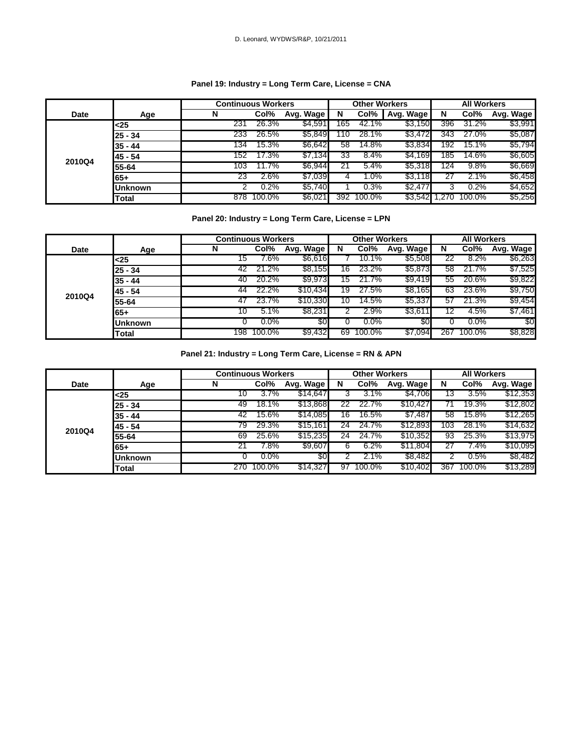#### **Panel 19: Industry = Long Term Care, License = CNA**

|             |                | <b>Continuous Workers</b> |        |           |     | <b>Other Workers</b> |           |     | <b>All Workers</b> |           |
|-------------|----------------|---------------------------|--------|-----------|-----|----------------------|-----------|-----|--------------------|-----------|
| <b>Date</b> | Age            | N                         | Col%   | Avg. Wage | N   | Col%                 | Avg. Wage | N   | Col%               | Avg. Wage |
|             | <25            | 231                       | 26.3%  | \$4,591   | 165 | 42.1%                | \$3,150   | 396 | 31.2%              | \$3,991   |
|             | $25 - 34$      | 233                       | 26.5%  | \$5,849   | 10  | 28.1%                | \$3,472   | 343 | 27.0%              | \$5,087   |
|             | $35 - 44$      | 134                       | 15.3%  | \$6,642   | 58  | $14.8\%$             | \$3,834   | 192 | 15.1%              | \$5,794   |
|             | 45 - 54        | 152                       | 7.3%   | \$7,134   | 33  | 8.4%                 | \$4,169   | 185 | 14.6%              | \$6,605   |
| 2010Q4      | 55-64          | 103                       | 1.7%   | \$6,944   | 21  | 5.4%                 | \$5,318   | 124 | 9.8%               | \$6,669   |
|             | 65+            | 23                        | 2.6%   | \$7,039   | 4   | $1.0\%$              | \$3,118   |     | 2.1%               | \$6,458   |
|             | <b>Unknown</b> |                           | 0.2%   | \$5,740   |     | 0.3%                 | \$2,47    |     | 0.2%               | \$4,652   |
|             | Total          | 878                       | 100.0% | \$6,021   | 392 | 100.0%               | \$3,542   |     | 100.0%             | \$5,256   |

#### **Panel 20: Industry = Long Term Care, License = LPN**

|             |              | <b>Continuous Workers</b> |         |           |    | <b>Other Workers</b> |           |     | <b>All Workers</b> |           |
|-------------|--------------|---------------------------|---------|-----------|----|----------------------|-----------|-----|--------------------|-----------|
| <b>Date</b> | Age          | N                         | Col%    | Avg. Wage | N  | Col%                 | Avg. Wage | N   | Col%               | Avg. Wage |
|             | <25          | 15                        | .6%     | \$6,616   |    | 10.1%                | \$5,508   | 22  | 8.2%               | \$6,263   |
|             | 25 - 34      | 42                        | 21.2%   | \$8,155   | 16 | 23.2%                | \$5,873   | 58  | 21.7%              | \$7,525   |
|             | $35 - 44$    | 40                        | 20.2%   | \$9,973   | 15 | 21.7%                | \$9,419   | 55  | 20.6%              | \$9,822   |
| 2010Q4      | 45 - 54      | 44                        | 22.2%   | \$10,434  | 19 | 27.5%                | \$8,165   | 63  | 23.6%              | \$9,750   |
|             | 55-64        | 47                        | 23.7%   | \$10,330  | 10 | 14.5%                | \$5,337   | 57  | 21.3%              | \$9,454   |
|             | $65+$        | 10                        | 5.1%    | \$8,231   |    | 2.9%                 | \$3,61    |     | 4.5%               | \$7,461   |
|             | Unknown      |                           | $0.0\%$ | \$0       |    | $0.0\%$              | \$0       |     | $0.0\%$            | \$0       |
|             | <b>Total</b> | 198                       | 100.0%  | \$9,432   | 69 | 100.0%               | \$7,094   | 267 | 100.0%             | \$8,828   |

**Panel 21: Industry = Long Term Care, License = RN & APN**

|        |                | <b>Continuous Workers</b> |         |           |    | <b>Other Workers</b> |           |     | <b>All Workers</b> |           |
|--------|----------------|---------------------------|---------|-----------|----|----------------------|-----------|-----|--------------------|-----------|
| Date   | Age            | N                         | Col%    | Avg. Wage | N  | Col%                 | Avg. Wage | N   | Col%               | Avg. Wage |
|        | $25$           | 10                        | 3.7%    | \$14,647  |    | 3.1%                 | \$4,706   | 13  | 3.5%               | \$12,353  |
|        | $25 - 34$      | 49                        | 18.1%   | \$13,868  | 22 | 22.7%                | \$10,427  |     | 19.3%              | \$12,802  |
|        | $35 - 44$      | 42                        | 15.6%   | \$14,085  | 16 | 16.5%                | \$7,487   | 58  | 15.8%              | \$12,265  |
|        | 45 - 54        | 79                        | 29.3%   | \$15,161  | 24 | 24.7%                | \$12,893  | 103 | 28.1%              | \$14,632  |
| 2010Q4 | 55-64          | 69                        | 25.6%   | \$15,235  | 24 | 24.7%                | \$10,352  | 93  | 25.3%              | \$13,975  |
|        | 65+            | 21                        | 7.8%    | \$9,607   | b  | 6.2%                 | \$11,804  |     | 7.4%               | \$10,095  |
|        | <b>Unknown</b> |                           | $0.0\%$ | \$0       |    | 2.1%                 | \$8,482   |     | 0.5%               | \$8,482   |
|        | Total          | 270                       | 100.0%  | \$14,327  | 97 | 100.0%               | \$10,402  | 367 | 100.0%             | \$13,289  |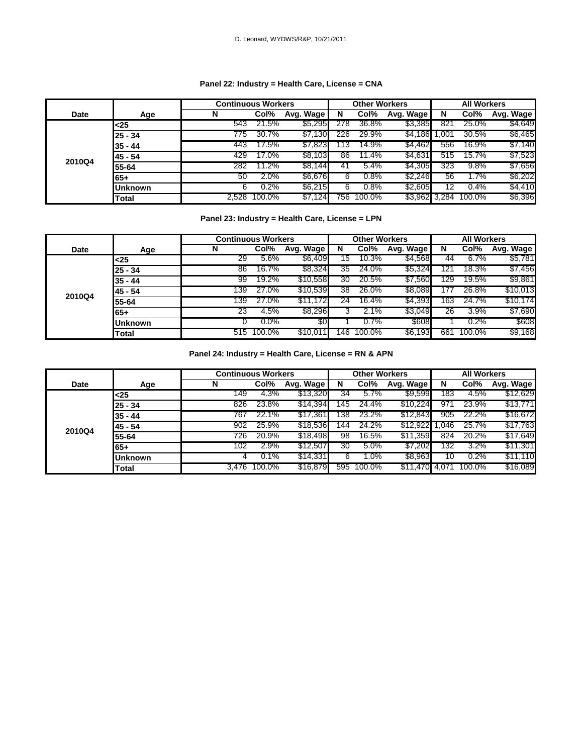#### **Panel 22: Industry = Health Care, License = CNA**

|             |                | <b>Continuous Workers</b> |         |           |     | <b>Other Workers</b> |               |      | <b>All Workers</b> |           |
|-------------|----------------|---------------------------|---------|-----------|-----|----------------------|---------------|------|--------------------|-----------|
| <b>Date</b> | Age            | N                         | Col%    | Avg. Wage | N   | Col%                 | Avg. Wage     | N    | Col%               | Avg. Wage |
|             | -25            | 543                       | 21.5%   | \$5,295   | 278 | 36.8%                | \$3,385       | 821  | 25.0%              | \$4,649   |
|             | $25 - 34$      | 775                       | 30.7%   | \$7,130   | 226 | 29.9%                | \$4,186       | .001 | 30.5%              | \$6,465   |
|             | $35 - 44$      | 443                       | $7.5\%$ | \$7,823   | 13  | 14.9%                | \$4,462       | 556  | 16.9%              | \$7,140   |
|             | 45 - 54        | 429                       | $7.0\%$ | \$8,103   | 86  | 11.4%                | \$4,631       | 515  | 15.7%              | \$7,523   |
| 2010Q4      | 55-64          | 282                       | 1.2%    | \$8,144   | 41  | 5.4%                 | \$4,305       | 323  | 9.8%               | \$7,656   |
|             | 65+            | 50                        | 2.0%    | \$6,676   | 6   | 0.8%                 | \$2,246       | 56   | 1.7%               | \$6,202   |
|             | <b>Unknown</b> | 6                         | 0.2%    | \$6,215   |     | 0.8%                 | \$2,605       |      | 0.4%               | \$4,410   |
|             | Total          | 2.528                     | 100.0%  | \$7,124   | 756 | 100.0%               | \$3,962 3,284 |      | 100.0%             | \$6,396   |

#### **Panel 23: Industry = Health Care, License = LPN**

|        |                | <b>Continuous Workers</b> |         |           |     | <b>Other Workers</b> |           |     | <b>All Workers</b> |           |
|--------|----------------|---------------------------|---------|-----------|-----|----------------------|-----------|-----|--------------------|-----------|
| Date   | Age            | N                         | Col%    | Avg. Wage | N   | Col%                 | Avg. Wage | N   | Col%               | Avg. Wage |
|        | <25            | 29                        | 5.6%    | \$6,409   | 15  | 10.3%                | \$4,568   | 44  | $6.7\%$            | \$5,781   |
|        | $25 - 34$      | 86                        | 16.7%   | \$8,324   | 35  | 24.0%                | \$5,324   | 21  | 18.3%              | \$7,456   |
|        | $35 - 44$      | 99                        | 19.2%   | \$10,558  | 30  | 20.5%                | \$7,560   | 29  | 19.5%              | \$9,861   |
|        | 45 - 54        | 139                       | 27.0%   | \$10,539  | 38  | 26.0%                | \$8,089   |     | 26.8%              | \$10,013  |
| 2010Q4 | 55-64          | 139                       | 27.0%   | \$11,172  | 24  | 16.4%                | \$4,393   | 63  | 24.7%              | \$10,174  |
|        | 65+            | 23                        | 4.5%    | \$8,296   |     | 2.1%                 | \$3,049   | 26  | 3.9%               | \$7,690   |
|        | <b>Unknown</b> |                           | $0.0\%$ | \$0       |     | 0.7%                 | \$608     |     | 0.2%               | \$608     |
|        | Total          | 515                       | 100.0%  | \$10,011  | 146 | 100.0%               | \$6,193   | 661 | 100.0%             | \$9,168   |

#### **Panel 24: Industry = Health Care, License = RN & APN**

|             |                | <b>Continuous Workers</b> |              |           |     | <b>Other Workers</b> |                |       | <b>All Workers</b> |           |
|-------------|----------------|---------------------------|--------------|-----------|-----|----------------------|----------------|-------|--------------------|-----------|
| <b>Date</b> | Age            | N                         | Col%         | Avg. Wage | N   | Col%                 | Avg. Wage      | N     | Col%               | Avg. Wage |
|             | $25$           | 149                       | 4.3%         | \$13,320  | 34  | 5.7%                 | \$9,599        | 183   | 4.5%               | \$12,629  |
|             | $25 - 34$      | 826                       | 23.8%        | \$14,394  | 45  | 24.4%                | \$10,224       | 971   | 23.9%              | \$13,771  |
|             | $35 - 44$      | 767                       | 22.1%        | \$17,361  | '38 | 23.2%                | \$12,843       | 905   | 22.2%              | \$16,672  |
|             | 45 - 54        | 902                       | 25.9%        | \$18,536  | 144 | 24.2%                | \$12.922       | .046  | 25.7%              | \$17,763  |
| 2010Q4      | 55-64          | 726                       | 20.9%        | \$18,498  | 98  | 16.5%                | \$11,359       | 824   | 20.2%              | \$17,649  |
|             | 65+            | 102                       | 2.9%         | \$12,507  | 30  | 5.0%                 | \$7,202        | 132   | 3.2%               | \$11,301  |
|             | <b>Unknown</b> |                           | 0.1%         | \$14,331  | 6   | 1.0%                 | <b>\$8,963</b> | 10    | 0.2%               | \$11,110  |
|             | Total          |                           | 3.476 100.0% | \$16,879  | 595 | 100.0%               | \$11,470       | 4.071 | 100.0%             | \$16,089  |